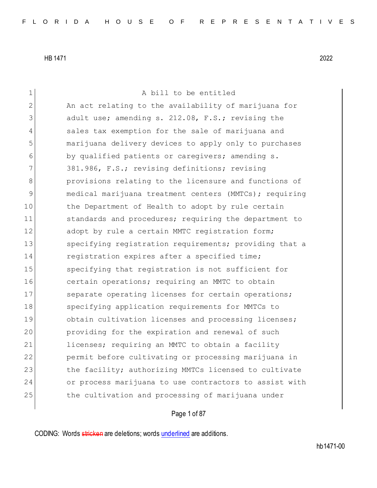1 A bill to be entitled 2 An act relating to the availability of marijuana for 3 adult use; amending s. 212.08, F.S.; revising the 4 sales tax exemption for the sale of marijuana and 5 marijuana delivery devices to apply only to purchases 6 by qualified patients or caregivers; amending s. 7 381.986, F.S.; revising definitions; revising 8 provisions relating to the licensure and functions of 9 medical marijuana treatment centers (MMTCs); requiring 10 the Department of Health to adopt by rule certain 11 standards and procedures; requiring the department to 12 adopt by rule a certain MMTC registration form; 13 Specifying registration requirements; providing that a 14 registration expires after a specified time; 15 Specifying that registration is not sufficient for 16 certain operations; requiring an MMTC to obtain 17 Separate operating licenses for certain operations; 18 Specifying application requirements for MMTCs to 19 obtain cultivation licenses and processing licenses; 20 **providing for the expiration and renewal of such** 21 licenses; requiring an MMTC to obtain a facility 22 permit before cultivating or processing marijuana in 23 the facility; authorizing MMTCs licensed to cultivate 24 or process marijuana to use contractors to assist with 25 the cultivation and processing of marijuana under

Page 1 of 87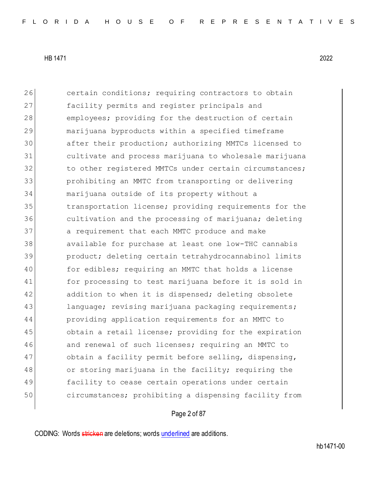26 certain conditions; requiring contractors to obtain 27 facility permits and register principals and 28 employees; providing for the destruction of certain 29 marijuana byproducts within a specified timeframe 30 after their production; authorizing MMTCs licensed to 31 cultivate and process marijuana to wholesale marijuana 32 to other registered MMTCs under certain circumstances; 33 prohibiting an MMTC from transporting or delivering 34 marijuana outside of its property without a 35 transportation license; providing requirements for the 36 36 cultivation and the processing of marijuana; deleting 37 a requirement that each MMTC produce and make 38 available for purchase at least one low-THC cannabis 39 product; deleting certain tetrahydrocannabinol limits 40 for edibles; requiring an MMTC that holds a license 41 for processing to test marijuana before it is sold in 42 addition to when it is dispensed; deleting obsolete 43 language; revising marijuana packaging requirements; 44 providing application requirements for an MMTC to 45 obtain a retail license; providing for the expiration 46 and renewal of such licenses; requiring an MMTC to 47 obtain a facility permit before selling, dispensing, 48 or storing marijuana in the facility; requiring the 49 facility to cease certain operations under certain 50 circumstances; prohibiting a dispensing facility from

## Page 2 of 87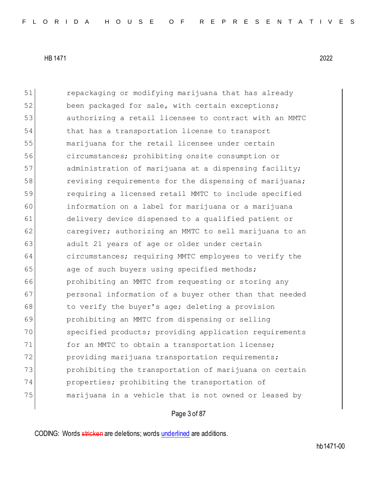51 repackaging or modifying marijuana that has already 52 been packaged for sale, with certain exceptions; 53 authorizing a retail licensee to contract with an MMTC 54 that has a transportation license to transport 55 marijuana for the retail licensee under certain 56 circumstances; prohibiting onsite consumption or 57 administration of marijuana at a dispensing facility; 58 revising requirements for the dispensing of marijuana; 59 requiring a licensed retail MMTC to include specified 60 information on a label for marijuana or a marijuana 61 delivery device dispensed to a qualified patient or 62 caregiver; authorizing an MMTC to sell marijuana to an 63 adult 21 years of age or older under certain 64 circumstances; requiring MMTC employees to verify the 65 age of such buyers using specified methods; 66 prohibiting an MMTC from requesting or storing any 67 personal information of a buyer other than that needed 68 to verify the buyer's age; deleting a provision 69 prohibiting an MMTC from dispensing or selling 70 specified products; providing application requirements 71 for an MMTC to obtain a transportation license; 72 providing marijuana transportation requirements; 73 prohibiting the transportation of marijuana on certain 74 properties; prohibiting the transportation of 75 marijuana in a vehicle that is not owned or leased by

Page 3 of 87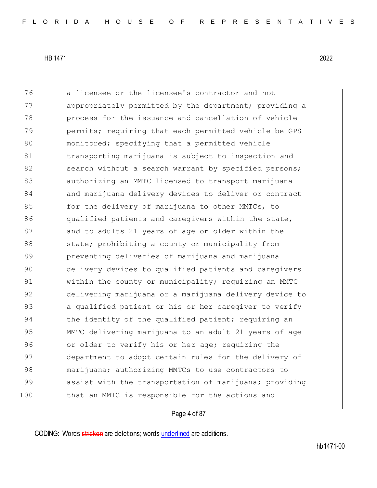76 a licensee or the licensee's contractor and not 77 appropriately permitted by the department; providing a 78 **process for the issuance and cancellation of vehicle** 79 permits; requiring that each permitted vehicle be GPS 80 monitored; specifying that a permitted vehicle 81 btransporting marijuana is subject to inspection and 82 search without a search warrant by specified persons; 83 authorizing an MMTC licensed to transport marijuana 84 and marijuana delivery devices to deliver or contract 85 **for the delivery of marijuana to other MMTCs, to** 86 qualified patients and caregivers within the state, 87 and to adults 21 years of age or older within the 88 state; prohibiting a county or municipality from 89 preventing deliveries of marijuana and marijuana 90 delivery devices to qualified patients and caregivers 91 within the county or municipality; requiring an MMTC 92 delivering marijuana or a marijuana delivery device to 93 a qualified patient or his or her caregiver to verify 94 bhe identity of the qualified patient; requiring an 95 MMTC delivering marijuana to an adult 21 years of age 96 or older to verify his or her age; requiring the 97 department to adopt certain rules for the delivery of 98 marijuana; authorizing MMTCs to use contractors to 99 assist with the transportation of marijuana; providing 100 100 that an MMTC is responsible for the actions and

### Page 4 of 87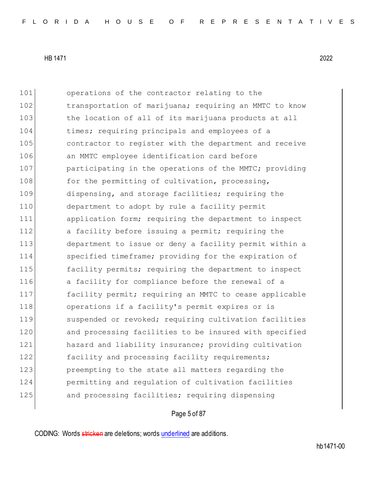101 operations of the contractor relating to the 102 transportation of marijuana; requiring an MMTC to know 103 the location of all of its marijuana products at all 104 times; requiring principals and employees of a 105 contractor to register with the department and receive 106 an MMTC employee identification card before 107 participating in the operations of the MMTC; providing 108 for the permitting of cultivation, processing, 109 dispensing, and storage facilities; requiring the 110 department to adopt by rule a facility permit 111 application form; requiring the department to inspect 112 a facility before issuing a permit; requiring the 113 department to issue or deny a facility permit within a 114 specified timeframe; providing for the expiration of 115 **facility permits;** requiring the department to inspect 116 a facility for compliance before the renewal of a 117 **facility permit;** requiring an MMTC to cease applicable 118 operations if a facility's permit expires or is 119 Suspended or revoked; requiring cultivation facilities 120 and processing facilities to be insured with specified 121 hazard and liability insurance; providing cultivation 122 facility and processing facility requirements; 123 preempting to the state all matters regarding the 124 permitting and regulation of cultivation facilities 125 and processing facilities; requiring dispensing

## Page 5 of 87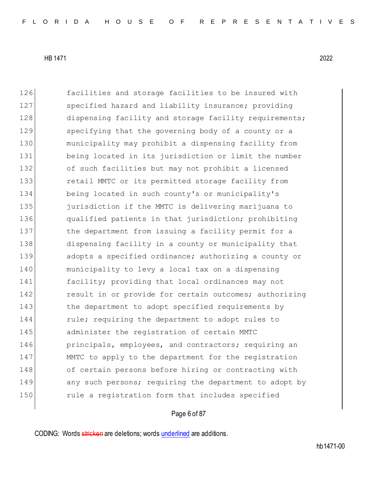126 facilities and storage facilities to be insured with 127 specified hazard and liability insurance; providing 128 dispensing facility and storage facility requirements; 129 specifying that the governing body of a county or a 130 municipality may prohibit a dispensing facility from 131 being located in its jurisdiction or limit the number 132 of such facilities but may not prohibit a licensed 133 **retail MMTC** or its permitted storage facility from 134 being located in such county's or municipality's 135 **jurisdiction if the MMTC is delivering marijuana to** 136 qualified patients in that jurisdiction; prohibiting 137 the department from issuing a facility permit for a 138 dispensing facility in a county or municipality that 139 adopts a specified ordinance; authorizing a county or 140 municipality to levy a local tax on a dispensing 141 facility; providing that local ordinances may not 142 result in or provide for certain outcomes; authorizing 143 the department to adopt specified requirements by 144 rule; requiring the department to adopt rules to 145 administer the registration of certain MMTC 146 **principals, employees, and contractors; requiring an** 147 MMTC to apply to the department for the registration 148 of certain persons before hiring or contracting with 149 any such persons; requiring the department to adopt by 150 rule a registration form that includes specified

### Page 6 of 87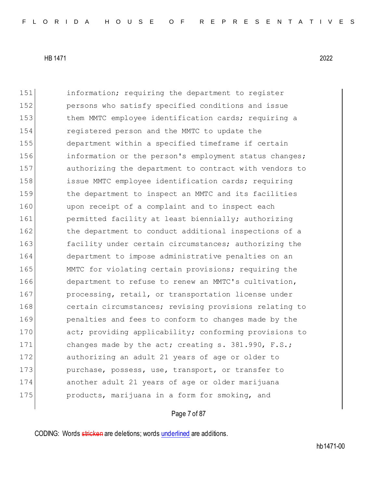151 information; requiring the department to register 152 persons who satisfy specified conditions and issue 153 them MMTC employee identification cards; requiring a 154 registered person and the MMTC to update the 155 department within a specified timeframe if certain 156 information or the person's employment status changes; 157 authorizing the department to contract with vendors to 158 issue MMTC employee identification cards; requiring 159 the department to inspect an MMTC and its facilities 160 upon receipt of a complaint and to inspect each 161 permitted facility at least biennially; authorizing 162 the department to conduct additional inspections of a 163 facility under certain circumstances; authorizing the 164 department to impose administrative penalties on an 165 MMTC for violating certain provisions; requiring the 166 department to refuse to renew an MMTC's cultivation, 167 **processing, retail, or transportation license under** 168 certain circumstances; revising provisions relating to 169 **penalties and fees to conform to changes made by the** 170 act; providing applicability; conforming provisions to 171 changes made by the act; creating s. 381.990, F.S.; 172 authorizing an adult 21 years of age or older to 173 purchase, possess, use, transport, or transfer to 174 another adult 21 years of age or older marijuana 175 **products, marijuana in a form for smoking, and** 

## Page 7 of 87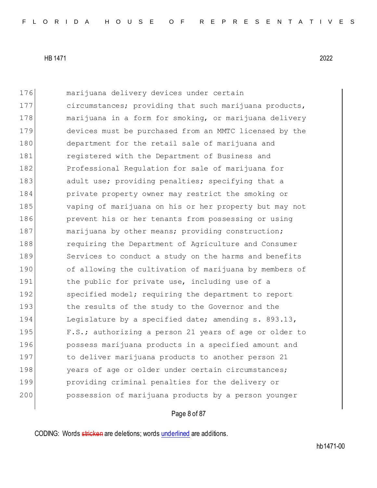176 marijuana delivery devices under certain 177 circumstances; providing that such marijuana products, 178 marijuana in a form for smoking, or marijuana delivery 179 devices must be purchased from an MMTC licensed by the 180 department for the retail sale of marijuana and 181 **registered with the Department of Business and** 182 Professional Requlation for sale of marijuana for 183 adult use; providing penalties; specifying that a 184 private property owner may restrict the smoking or 185 vaping of marijuana on his or her property but may not 186 prevent his or her tenants from possessing or using 187 marijuana by other means; providing construction; 188 requiring the Department of Agriculture and Consumer 189 Services to conduct a study on the harms and benefits 190 of allowing the cultivation of marijuana by members of 191 the public for private use, including use of a 192 specified model; requiring the department to report 193 the results of the study to the Governor and the 194 Legislature by a specified date; amending s. 893.13, 195 F.S.; authorizing a person 21 years of age or older to 196 **possess marijuana products in a specified amount and** 197 to deliver marijuana products to another person 21 198 years of age or older under certain circumstances; 199 providing criminal penalties for the delivery or 200 **possession of marijuana products by a person younger** 

### Page 8 of 87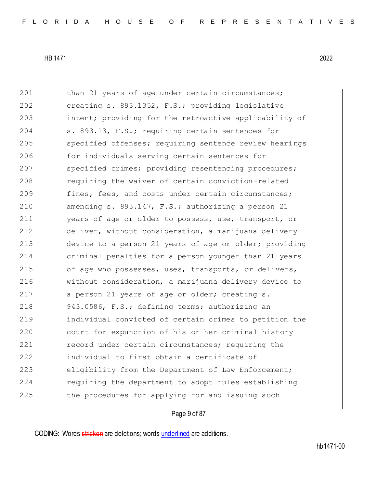201 than 21 years of age under certain circumstances; 202 creating s. 893.1352, F.S.; providing legislative 203 intent; providing for the retroactive applicability of 204 s. 893.13, F.S.; requiring certain sentences for 205 Specified offenses; requiring sentence review hearings 206 for individuals serving certain sentences for 207 specified crimes; providing resentencing procedures; 208 requiring the waiver of certain conviction-related 209 fines, fees, and costs under certain circumstances; 210 amending s. 893.147, F.S.; authorizing a person 21 211 years of age or older to possess, use, transport, or 212 deliver, without consideration, a marijuana delivery 213 device to a person 21 years of age or older; providing 214 criminal penalties for a person younger than 21 years 215 of age who possesses, uses, transports, or delivers, 216 without consideration, a marijuana delivery device to 217 a person 21 years of age or older; creating s. 218 943.0586, F.S.; defining terms; authorizing an 219 individual convicted of certain crimes to petition the 220 court for expunction of his or her criminal history 221 record under certain circumstances; requiring the 222 individual to first obtain a certificate of 223 eligibility from the Department of Law Enforcement; 224 requiring the department to adopt rules establishing 225 the procedures for applying for and issuing such

## Page 9 of 87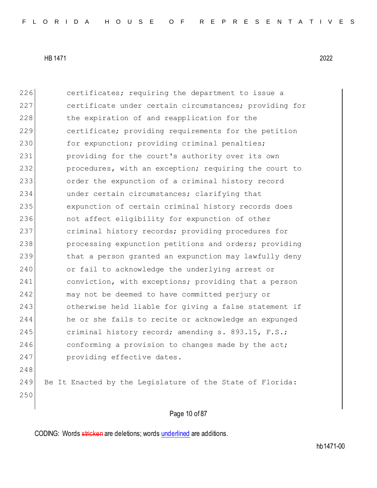226 certificates; requiring the department to issue a 227 certificate under certain circumstances; providing for 228 the expiration of and reapplication for the 229 certificate; providing requirements for the petition 230 for expunction; providing criminal penalties; 231 providing for the court's authority over its own 232 procedures, with an exception; requiring the court to 233 order the expunction of a criminal history record 234 under certain circumstances; clarifying that 235 expunction of certain criminal history records does 236 not affect eligibility for expunction of other 237 criminal history records; providing procedures for 238 processing expunction petitions and orders; providing 239 that a person granted an expunction may lawfully deny 240 or fail to acknowledge the underlying arrest or 241 conviction, with exceptions; providing that a person 242 may not be deemed to have committed perjury or 243 otherwise held liable for giving a false statement if 244 he or she fails to recite or acknowledge an expunged 245 criminal history record; amending s. 893.15, F.S.; 246 conforming a provision to changes made by the act; 247 providing effective dates. 248 249 Be It Enacted by the Legislature of the State of Florida: 250

# Page 10 of 87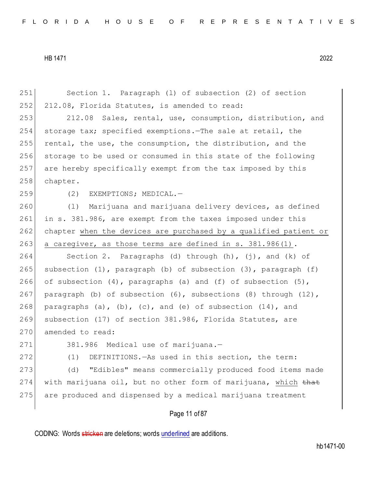Page 11 of 87 251 Section 1. Paragraph (l) of subsection (2) of section 252 212.08, Florida Statutes, is amended to read: 253 212.08 Sales, rental, use, consumption, distribution, and 254 storage tax; specified exemptions.—The sale at retail, the 255 rental, the use, the consumption, the distribution, and the 256 storage to be used or consumed in this state of the following 257 are hereby specifically exempt from the tax imposed by this 258 chapter. 259 (2) EXEMPTIONS; MEDICAL. 260 (l) Marijuana and marijuana delivery devices, as defined 261 in s. 381.986, are exempt from the taxes imposed under this 262 chapter when the devices are purchased by a qualified patient or 263 a caregiver, as those terms are defined in s.  $381.986(1)$ . 264 Section 2. Paragraphs (d) through (h), (j), and (k) of 265 subsection  $(1)$ , paragraph  $(b)$  of subsection  $(3)$ , paragraph  $(f)$ 266 of subsection (4), paragraphs (a) and (f) of subsection  $(5)$ , 267 paragraph (b) of subsection  $(6)$ , subsections  $(8)$  through  $(12)$ , 268 paragraphs (a), (b), (c), and (e) of subsection  $(14)$ , and 269 subsection (17) of section 381.986, Florida Statutes, are 270 amended to read: 271 381.986 Medical use of marijuana.-272 (1) DEFINITIONS. - As used in this section, the term: 273 (d) "Edibles" means commercially produced food items made 274 with marijuana oil, but no other form of marijuana, which that 275 are produced and dispensed by a medical marijuana treatment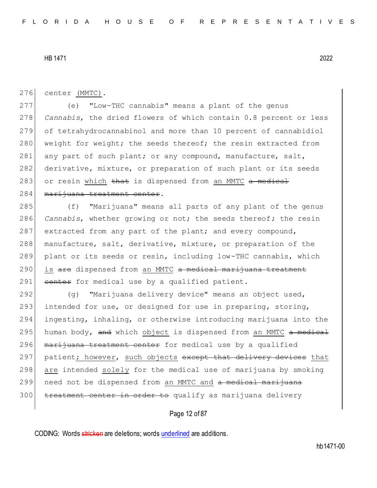276 center (MMTC).

277 (e) "Low-THC cannabis" means a plant of the genus 278 *Cannabis*, the dried flowers of which contain 0.8 percent or less 279 of tetrahydrocannabinol and more than 10 percent of cannabidiol 280 weight for weight; the seeds thereof; the resin extracted from 281 any part of such plant; or any compound, manufacture, salt, 282 derivative, mixture, or preparation of such plant or its seeds 283 or resin which that is dispensed from an MMTC a medical 284 marijuana treatment center.

285 (f) "Marijuana" means all parts of any plant of the genus 286 *Cannabis*, whether growing or not; the seeds thereof; the resin 287 extracted from any part of the plant; and every compound, 288 manufacture, salt, derivative, mixture, or preparation of the 289 plant or its seeds or resin, including low-THC cannabis, which 290 is are dispensed from an MMTC a medical marijuana treatment 291 center for medical use by a qualified patient.

292 (g) "Marijuana delivery device" means an object used, 293 intended for use, or designed for use in preparing, storing, 294 ingesting, inhaling, or otherwise introducing marijuana into the 295 human body, and which object is dispensed from an MMTC  $a$  medical 296 marijuana treatment center for medical use by a qualified 297 patient; however, such objects except that delivery devices that 298 are intended solely for the medical use of marijuana by smoking 299 need not be dispensed from an MMTC and a medical marijuana 300 treatment center in order to qualify as marijuana delivery

### Page 12 of 87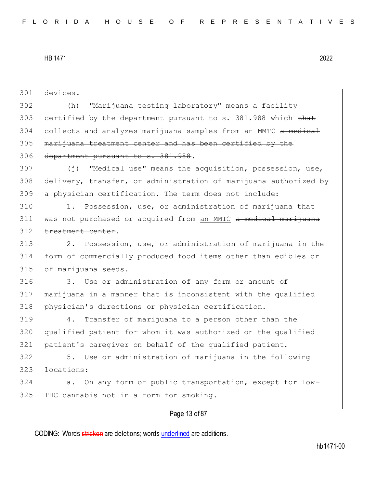301 devices.

302 (h) "Marijuana testing laboratory" means a facility 303 certified by the department pursuant to s. 381.988 which that 304 collects and analyzes marijuana samples from an MMTC a medical 305 marijuana treatment center and has been certified by the 306 department pursuant to s. 381.988.

307 (j) "Medical use" means the acquisition, possession, use, 308 delivery, transfer, or administration of marijuana authorized by 309 a physician certification. The term does not include:

310 1. Possession, use, or administration of marijuana that 311 was not purchased or acquired from an MMTC a medical marijuana 312 treatment center.

313 2. Possession, use, or administration of marijuana in the 314 form of commercially produced food items other than edibles or 315 of marijuana seeds.

316 3. Use or administration of any form or amount of 317 marijuana in a manner that is inconsistent with the qualified 318 physician's directions or physician certification.

319 4. Transfer of marijuana to a person other than the 320 qualified patient for whom it was authorized or the qualified 321 patient's caregiver on behalf of the qualified patient.

322 5. Use or administration of marijuana in the following 323 locations:

324 a. On any form of public transportation, except for low-325 THC cannabis not in a form for smoking.

## Page 13 of 87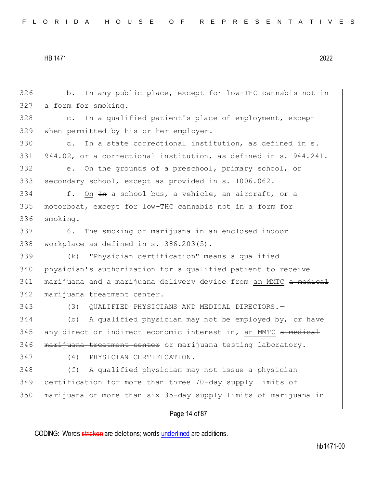b. In any public place, except for low-THC cannabis not in a form for smoking. c. In a qualified patient's place of employment, except when permitted by his or her employer. 330 d. In a state correctional institution, as defined in s. 944.02, or a correctional institution, as defined in s. 944.241. e. On the grounds of a preschool, primary school, or secondary school, except as provided in s. 1006.062. f. On  $\text{Im}$  a school bus, a vehicle, an aircraft, or a motorboat, except for low-THC cannabis not in a form for smoking. 6. The smoking of marijuana in an enclosed indoor workplace as defined in s.  $386.203(5)$ . (k) "Physician certification" means a qualified physician's authorization for a qualified patient to receive 341 marijuana and a marijuana delivery device from an MMTC a medical 342 | marijuana treatment center. (3) QUALIFIED PHYSICIANS AND MEDICAL DIRECTORS.— (b) A qualified physician may not be employed by, or have 345 any direct or indirect economic interest in, an MMTC a medical 346 marijuana treatment center or marijuana testing laboratory. (4) PHYSICIAN CERTIFICATION.— (f) A qualified physician may not issue a physician certification for more than three 70-day supply limits of marijuana or more than six 35-day supply limits of marijuana in

Page 14 of 87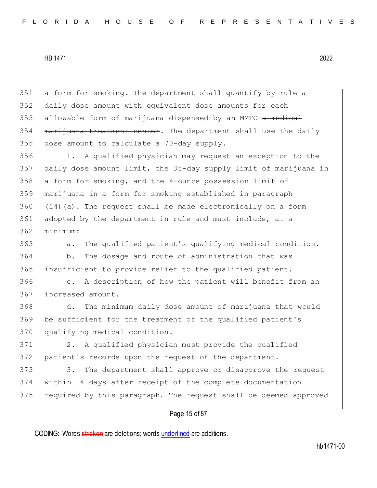a form for smoking. The department shall quantify by rule a daily dose amount with equivalent dose amounts for each 353 allowable form of marijuana dispensed by an MMTC a medical marijuana treatment center. The department shall use the daily dose amount to calculate a 70-day supply. 1. A qualified physician may request an exception to the daily dose amount limit, the 35-day supply limit of marijuana in a form for smoking, and the 4-ounce possession limit of marijuana in a form for smoking established in paragraph (14)(a). The request shall be made electronically on a form 361 adopted by the department in rule and must include, at a 362 minimum:

363 a. The qualified patient's qualifying medical condition.

364 b. The dosage and route of administration that was 365 insufficient to provide relief to the qualified patient.

366 c. A description of how the patient will benefit from an 367 increased amount.

368 d. The minimum daily dose amount of marijuana that would 369 be sufficient for the treatment of the qualified patient's 370 qualifying medical condition.

371 2. A qualified physician must provide the qualified 372 patient's records upon the request of the department.

373 3. The department shall approve or disapprove the request 374 within 14 days after receipt of the complete documentation 375 required by this paragraph. The request shall be deemed approved

## Page 15 of 87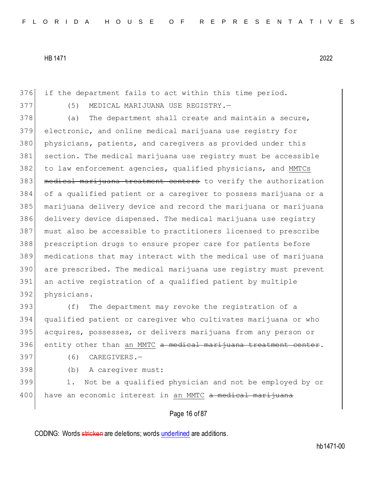if the department fails to act within this time period. 377 (5) MEDICAL MARIJUANA USE REGISTRY. 378 (a) The department shall create and maintain a secure, electronic, and online medical marijuana use registry for physicians, patients, and caregivers as provided under this section. The medical marijuana use registry must be accessible 382 to law enforcement agencies, qualified physicians, and MMTCs 383 medical marijuana treatment centers to verify the authorization of a qualified patient or a caregiver to possess marijuana or a marijuana delivery device and record the marijuana or marijuana delivery device dispensed. The medical marijuana use registry must also be accessible to practitioners licensed to prescribe prescription drugs to ensure proper care for patients before medications that may interact with the medical use of marijuana are prescribed. The medical marijuana use registry must prevent an active registration of a qualified patient by multiple physicians.

 (f) The department may revoke the registration of a qualified patient or caregiver who cultivates marijuana or who acquires, possesses, or delivers marijuana from any person or 396 entity other than an MMTC a medical marijuana treatment center.

397 (6) CAREGIVERS.—

398 (b) A caregiver must:

399 1. Not be a qualified physician and not be employed by or 400 have an economic interest in an MMTC a medical marijuana

Page 16 of 87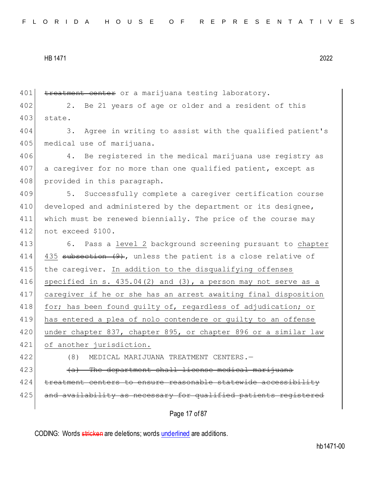```
HB 1471 2022
```
401 treatment center or a marijuana testing laboratory. 402 2. Be 21 years of age or older and a resident of this 403 state. 404 3. Agree in writing to assist with the qualified patient's 405 medical use of marijuana. 406 4. Be registered in the medical marijuana use registry as 407 a caregiver for no more than one qualified patient, except as 408 provided in this paragraph. 409 5. Successfully complete a caregiver certification course 410 developed and administered by the department or its designee, 411 which must be renewed biennially. The price of the course may 412 not exceed \$100. 413 6. Pass a level 2 background screening pursuant to chapter 414 435 subsection (9), unless the patient is a close relative of 415 | the caregiver. In addition to the disqualifying offenses 416 specified in s. 435.04(2) and  $(3)$ , a person may not serve as a 417 caregiver if he or she has an arrest awaiting final disposition 418 for; has been found guilty of, regardless of adjudication; or 419 has entered a plea of nolo contendere or guilty to an offense 420 under chapter 837, chapter 895, or chapter 896 or a similar law 421 of another jurisdiction. 422 (8) MEDICAL MARIJUANA TREATMENT CENTERS.— 423 (a) The department shall license medical marijuana 424 treatment centers to ensure reasonable statewide accessibility 425 and availability as necessary for qualified patients registered

Page 17 of 87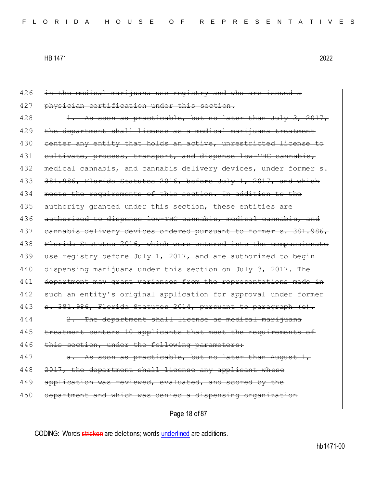426 in the medical marijuana use registry and who are issued a 427 physician certification under this section.  $428$  1. As soon as practicable, but no later than July 3, 2017, 429 the department shall license as a medical marijuana treatment 430 center any entity that holds an active, unrestricted license to 431 cultivate, process, transport, and dispense low-THC cannabis, 432 medical cannabis, and cannabis delivery devices, under former s. 433 381.986, Florida Statutes 2016, before July 1, 2017, and which 434 meets the requirements of this section. In addition to the 435 authority granted under this section, these entities are 436 authorized to dispense low-THC cannabis, medical cannabis, and 437 cannabis delivery devices ordered pursuant to former s. 381.986, 438 Florida Statutes 2016, which were entered into the compassionate 439 use registry before July 1, 2017, and are authorized to begin 440 dispensing marijuana under this section on July 3, 2017. The 441 department may grant variances from the representations made in 442 such an entity's original application for approval under former  $443$  s. 381.986, Florida Statutes 2014, pursuant to paragraph (e).  $444$   $2.$  The department shall license as medi 445 treatment centers 10 applicants that meet the requirements of 446 this section, under the following parameters:  $447$  a. As soon as practicable, but no later than August 1, 448 2017, the department shall license any applicant whose 449 application was reviewed, evaluated, and scored by the 450 department and which was denied a dispensing organization

Page 18 of 87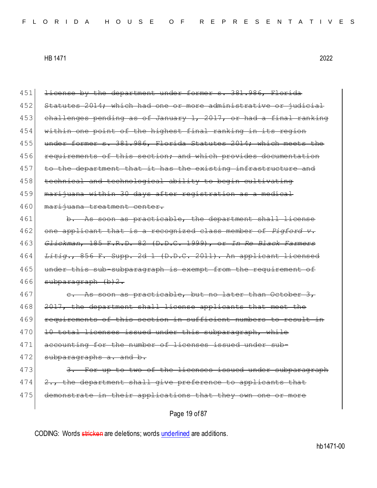Page 19 of 87 451 <del>license by the department under former s. 381.986, Florida</del> 452 Statutes 2014; which had one or more administrative or judicial 453 challenges pending as of January 1, 2017, or had a final ranking 454 within one point of the highest final ranking in its region 455 under former s. 381.986, Florida Statutes 2014; which meets the 456 requirements of this section; and which provides documentation 457 to the department that it has the existing infrastructure and 458 technical and technological ability to begin cultivating 459 | marijuana within 30 days after registration as a medical 460 marijuana treatment center.  $461$  b. As soon as practicable, the department shall license 462 one applicant that is a recognized class member of *Pigford v.*  463 *Glickman*, 185 F.R.D. 82 (D.D.C. 1999), or *In Re Black Farmers*  464 *Litig.*, 856 F. Supp. 2d 1 (D.D.C. 2011). An applicant licensed 465 under this sub-subparagraph is exempt from the requirement of 466 subparagraph (b) 2. 467 e. As soon as practicable, but no later than October 3, 468 20<del>17, the department shall license applicants that meet the</del> 469 requirements of this section 470 10 total licenses issued under this subparagraph, while 471 accounting for the number of licenses issued under sub-472 subparagraphs a. and b. 473 3. For up to two of the licenses issued under subparagraph  $474$   $2.,$  the department shall give preference to applicants that 475 demonstrate in their applications that they own one or more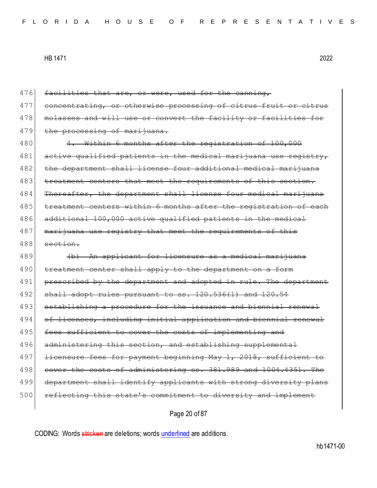476 facilities that are, or were, used for the canning, 477 concentrating, or otherwise processing of citrus fruit or 478 molasses and will use or convert the facility or facilities 479 the processing of marijuana. 480 4. Within 6 months after the registration of 100,000 481 active qualified patients in the medical marijuana use registry, 482 the department shall license four additional medical marijuana 483 treatment centers that meet the requirements of this section. 484 Thereafter, the department shall license four medical marijuana 485 treatment centers within 6 months after the registration of each 486 additional 100,000 active qualified patients in the medical 487 marijuana use registry that meet the requirements of this  $488$  section. 489 **(b)** An applicant for licensure as a medical marijuana 490 treatment center shall apply to the department on a form 491 prescribed by the department and adopted in rule. The department  $492$  shall adopt rules pursuant to ss.  $120.536(1)$  and  $120.54$ 493 establishing a procedure for the issuance and biennial renewal 494 of licenses, including initial applicat 495 fees sufficient to cover the costs of implementing and 496 administering this section, and establishing supplemental 497 <del>licensure fees for payment beginning May 1, 2018, sufficient to</del> 498 cover the costs of administering ss. 381.989 and 1004.4351. The 499 department shall identify applicants with strong diversity plans 500 reflecting this state's commitment to diversity and implement

Page 20 of 87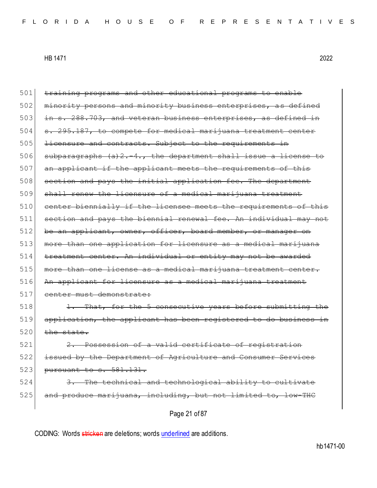501 training programs and other educational programs to enable 502 minority persons and minority business enterprises, as defined 503 in s. 288.703, and veteran business enterprises, as defined in  $504$  s. 295.187, to compete for medical marijuana treatment center 505 licensure and contracts. Subject to the requirements in 506 subparagraphs  $(a)$  2.-4., the department shall issue a license to 507 an applicant if the applicant meets the requirements of this 508 section and pays the initial application fee. The department 509 shall renew the licensure of a medical marijuana treatment 510 center biennially if the licensee meets the requirements of this 511 section and pays the biennial renewal fee. An individual may not 512 be an applicant, owner, officer, board member, or manager on 513 more than one application for licensure as a medical marijuana 514 treatment center. An individual or entity may not be awarded 515 more than one license as a medical marijuana treatment center. 516 An applicant for licensure as a medical marijuana treatment 517 center must demonstrate:  $518$  1. That, for the 5 consecutive years before submitting 519 application, the applicant has been registe  $520$  the state. 521 2. Possession of a valid certificate of registration 522 issued by the Department of Agriculture and Consumer Services 523 pursuant to s. 581.131. 524 3. The technical and technological ability to cultivate  $525$  and produce marijuana, including, but not limited to, low-THC

Page 21 of 87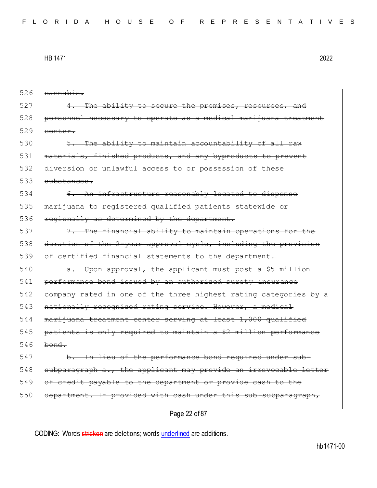| 526 | <del>cannabis.</del>                                                  |
|-----|-----------------------------------------------------------------------|
| 527 | 4. The ability to secure the premises, resources, and                 |
| 528 | personnel necessary to operate as a medical marijuana treatment       |
| 529 | center.                                                               |
| 530 | 5. The ability to maintain accountability of all raw                  |
| 531 | materials, finished products, and any byproducts to prevent           |
| 532 | diversion or unlawful access to or possession of these                |
| 533 | <del>substances.</del>                                                |
| 534 | 6. An infrastructure reasonably located to dispense                   |
| 535 | marijuana to registered qualified patients statewide or               |
| 536 | regionally as determined by the department.                           |
| 537 | 7. The financial ability to maintain operations for the               |
| 538 | duration of the 2-year approval cycle, including the provision        |
| 539 | of certified financial statements to the department.                  |
| 540 | Upon approval, the applicant must post a \$5 million<br><del>a.</del> |
| 541 | performance bond issued by an authorized surety insurance             |
| 542 | company rated in one of the three highest rating categories by a      |
| 543 | nationally recognized rating service. However, a medical              |
| 544 | marijuana treatment center serving at least 1,000 qualified           |
| 545 | patients is only required to maintain a \$2 million performance       |
| 546 | bond.                                                                 |
| 547 | In lieu of the performance bond required under sub-<br>b.             |
| 548 | subparagraph a., the applicant may provide an irrevocable letter      |
| 549 | of credit payable to the department or provide cash to the            |
| 550 | department. If provided with cash under this sub-subparagraph,        |
|     | Page 22 of 87                                                         |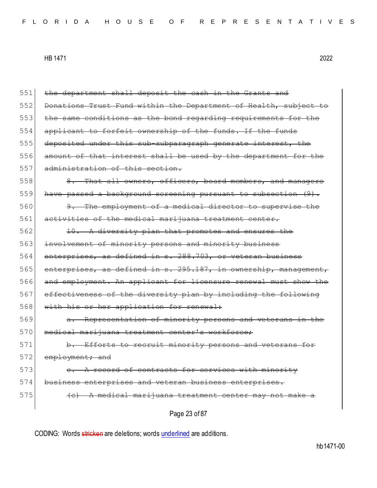| 551 | the department shall deposit the cash in the Grants and          |
|-----|------------------------------------------------------------------|
| 552 | Donations Trust Fund within the Department of Health, subject to |
| 553 | the same conditions as the bond regarding requirements for the   |
| 554 | applicant to forfeit ownership of the funds. If the funds        |
| 555 | deposited under this sub-subparagraph generate interest, the     |
| 556 | amount of that interest shall be used by the department for the  |
| 557 | administration of this section.                                  |
| 558 | 8. That all owners, officers, board members, and managers        |
| 559 | have passed a background screening pursuant to subsection (9).   |
| 560 | 9. The employment of a medical director to supervise the         |
| 561 | activities of the medical marijuana treatment center.            |
| 562 | 10. A diversity plan that promotes and ensures the               |
| 563 | involvement of minority persons and minority business            |
| 564 | enterprises, as defined in s. 288.703, or veteran business       |
| 565 | enterprises, as defined in s. 295.187, in ownership, management, |
| 566 | and employment. An applicant for licensure renewal must show the |
| 567 | effectiveness of the diversity plan by including the following   |
| 568 | with his or her application for renewal:                         |
| 569 | a. Representation of minority persons and veterans in the        |
| 570 | medical marijuana treatment center's workforce;                  |
| 571 | b. Efforts to recruit minority persons and veterans for          |
| 572 | employment; and                                                  |
| 573 | A record of contracts for services with minority                 |
| 574 | business enterprises and veteran business enterprises.           |
| 575 | (c) A medical marijuana treatment center may not make a          |
|     | Page 23 of 87                                                    |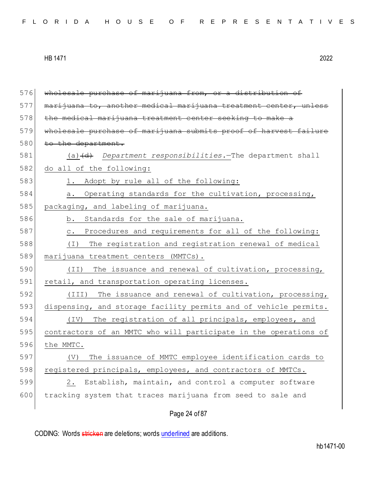| wholesale purchase of marijuana from, or a distribution of         |
|--------------------------------------------------------------------|
| marijuana to, another medical marijuana treatment center, unless   |
| the medical marijuana treatment center seeking to make a           |
| wholesale purchase of marijuana submits proof of harvest failure   |
| to the department.                                                 |
| $(a)$ $(d)$ Department responsibilities. The department shall      |
| do all of the following:                                           |
| 1. Adopt by rule all of the following:                             |
| Operating standards for the cultivation, processing,<br>a.         |
| packaging, and labeling of marijuana.                              |
| Standards for the sale of marijuana.<br>b.                         |
| Procedures and requirements for all of the following:<br>$\circ$ . |
| The registration and registration renewal of medical<br>( I )      |
| marijuana treatment centers (MMTCs).                               |
| The issuance and renewal of cultivation, processing,<br>(II)       |
| retail, and transportation operating licenses.                     |
| (III)<br>The issuance and renewal of cultivation, processing,      |
| dispensing, and storage facility permits and of vehicle permits.   |
| The registration of all principals, employees, and<br>(TV)         |
| contractors of an MMTC who will participate in the operations of   |
| the MMTC.                                                          |
| The issuance of MMTC employee identification cards to<br>(V)       |
| registered principals, employees, and contractors of MMTCs.        |
| Establish, maintain, and control a computer software<br>2.         |
| tracking system that traces marijuana from seed to sale and        |
| Page 24 of 87                                                      |
|                                                                    |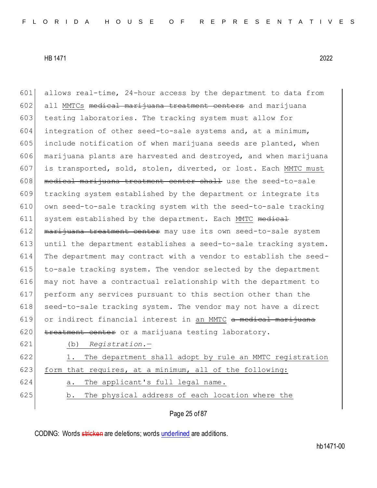601 allows real-time, 24-hour access by the department to data from 602 all MMTCs medical marijuana treatment centers and marijuana 603 testing laboratories. The tracking system must allow for 604 integration of other seed-to-sale systems and, at a minimum, 605 include notification of when marijuana seeds are planted, when 606 marijuana plants are harvested and destroyed, and when marijuana 607 is transported, sold, stolen, diverted, or lost. Each MMTC must  $608$  medical marijuana treatment center shall use the seed-to-sale 609 tracking system established by the department or integrate its 610 own seed-to-sale tracking system with the seed-to-sale tracking 611 system established by the department. Each MMTC medical  $612$  marijuana treatment center may use its own seed-to-sale system 613 until the department establishes a seed-to-sale tracking system. 614 The department may contract with a vendor to establish the seed-615 to-sale tracking system. The vendor selected by the department 616 may not have a contractual relationship with the department to 617 perform any services pursuant to this section other than the 618 seed-to-sale tracking system. The vendor may not have a direct 619 or indirect financial interest in an MMTC <del>a medical marijuana</del> 620 treatment center or a marijuana testing laboratory. 621 (b) *Registration.*— 622 1. The department shall adopt by rule an MMTC registration 623 form that requires, at a minimum, all of the following:

- 624 a. The applicant's full legal name.
- 625 b. The physical address of each location where the

Page 25 of 87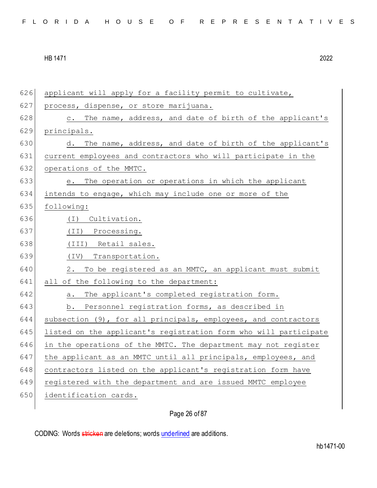applicant will apply for a facility permit to cultivate, 627 process, dispense, or store marijuana. 628 c. The name, address, and date of birth of the applicant's principals. 630 d. The name, address, and date of birth of the applicant's current employees and contractors who will participate in the 632 operations of the MMTC. e. The operation or operations in which the applicant intends to engage, which may include one or more of the following: (I) Cultivation. (II) Processing. (III) Retail sales. (IV) Transportation. 2. To be registered as an MMTC, an applicant must submit 641 all of the following to the department: 642 a. The applicant's completed registration form. b. Personnel registration forms, as described in 644 subsection (9), for all principals, employees, and contractors listed on the applicant's registration form who will participate 646 in the operations of the MMTC. The department may not register the applicant as an MMTC until all principals, employees, and 648 contractors listed on the applicant's registration form have registered with the department and are issued MMTC employee identification cards.

Page 26 of 87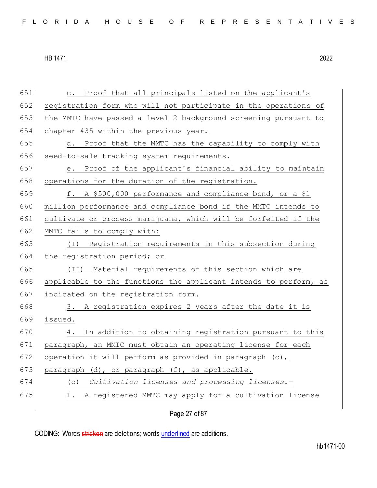| 651 | c. Proof that all principals listed on the applicant's           |
|-----|------------------------------------------------------------------|
| 652 | registration form who will not participate in the operations of  |
| 653 | the MMTC have passed a level 2 background screening pursuant to  |
| 654 | chapter 435 within the previous year.                            |
| 655 | d. Proof that the MMTC has the capability to comply with         |
| 656 | seed-to-sale tracking system requirements.                       |
| 657 | Proof of the applicant's financial ability to maintain<br>е.     |
| 658 | operations for the duration of the registration.                 |
| 659 | f. A \$500,000 performance and compliance bond, or a \$1         |
| 660 | million performance and compliance bond if the MMTC intends to   |
| 661 | cultivate or process marijuana, which will be forfeited if the   |
| 662 | MMTC fails to comply with:                                       |
| 663 | Registration requirements in this subsection during<br>( I )     |
| 664 | the registration period; or                                      |
| 665 | (II) Material requirements of this section which are             |
| 666 | applicable to the functions the applicant intends to perform, as |
| 667 | indicated on the registration form.                              |
| 668 | 3. A registration expires 2 years after the date it is           |
| 669 | issued.                                                          |
| 670 | In addition to obtaining registration pursuant to this<br>4.     |
| 671 | paragraph, an MMTC must obtain an operating license for each     |
| 672 | operation it will perform as provided in paragraph (c),          |
| 673 | paragraph (d), or paragraph (f), as applicable.                  |
| 674 | Cultivation licenses and processing licenses.-<br>(C)            |
| 675 | A registered MMTC may apply for a cultivation license<br>1.      |
|     | Page 27 of 87                                                    |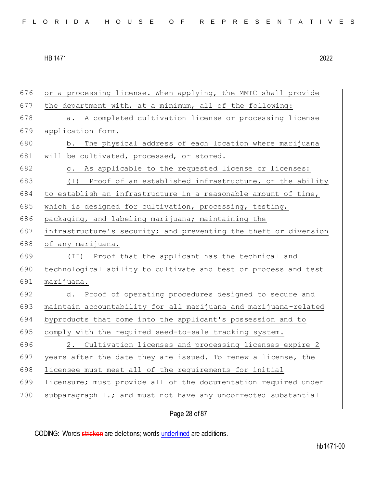676 or a processing license. When applying, the MMTC shall provide  $677$  the department with, at a minimum, all of the following: 678 a. A completed cultivation license or processing license 679 application form. 680 b. The physical address of each location where marijuana 681 will be cultivated, processed, or stored. 682 c. As applicable to the requested license or licenses: 683 (I) Proof of an established infrastructure, or the ability  $684$  to establish an infrastructure in a reasonable amount of time, 685 which is designed for cultivation, processing, testing, 686 packaging, and labeling marijuana; maintaining the 687 infrastructure's security; and preventing the theft or diversion 688 of any marijuana. 689 (II) Proof that the applicant has the technical and 690 technological ability to cultivate and test or process and test 691 marijuana. 692 d. Proof of operating procedures designed to secure and 693 maintain accountability for all marijuana and marijuana-related 694 byproducts that come into the applicant's possession and to 695 comply with the required seed-to-sale tracking system. 696 2. Cultivation licenses and processing licenses expire 2 697 years after the date they are issued. To renew a license, the 698 licensee must meet all of the requirements for initial 699 licensure; must provide all of the documentation required under 700 subparagraph 1.; and must not have any uncorrected substantial

Page 28 of 87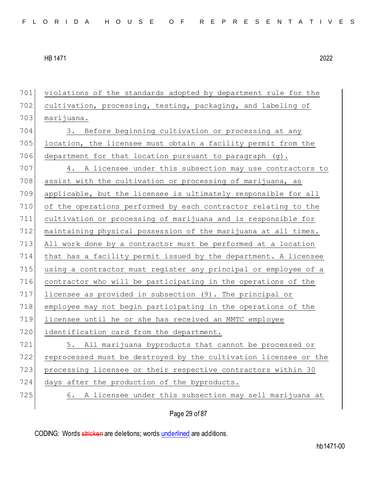violations of the standards adopted by department rule for the 702 cultivation, processing, testing, packaging, and labeling of marijuana. 704 3. Before beginning cultivation or processing at any location, the licensee must obtain a facility permit from the 706 department for that location pursuant to paragraph  $(q)$ . 4. A licensee under this subsection may use contractors to 708 assist with the cultivation or processing of marijuana, as applicable, but the licensee is ultimately responsible for all of the operations performed by each contractor relating to the cultivation or processing of marijuana and is responsible for maintaining physical possession of the marijuana at all times. All work done by a contractor must be performed at a location that has a facility permit issued by the department. A licensee using a contractor must register any principal or employee of a 716 contractor who will be participating in the operations of the licensee as provided in subsection (9). The principal or employee may not begin participating in the operations of the licensee until he or she has received an MMTC employee 720 identification card from the department. 5. All marijuana byproducts that cannot be processed or reprocessed must be destroyed by the cultivation licensee or the 723 processing licensee or their respective contractors within 30 724 days after the production of the byproducts. 6. A licensee under this subsection may sell marijuana at

Page 29 of 87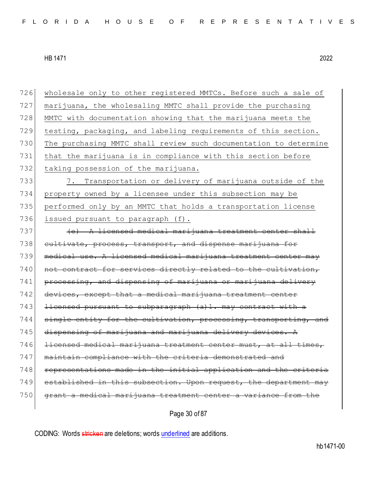wholesale only to other registered MMTCs. Before such a sale of marijuana, the wholesaling MMTC shall provide the purchasing MMTC with documentation showing that the marijuana meets the testing, packaging, and labeling requirements of this section. The purchasing MMTC shall review such documentation to determine that the marijuana is in compliance with this section before 732 taking possession of the marijuana. 7. Transportation or delivery of marijuana outside of the property owned by a licensee under this subsection may be performed only by an MMTC that holds a transportation license 736 issued pursuant to paragraph (f). (e) A licensed medical marijuana treatment center shall 738 cultivate, process, transport, and dispense marijuana for medical use. A licensed medical marijuana treatment center may 740 not contract for services directly related to the cultivation, processing, and dispensing of marijuana or marijuana delivery 742 devices, except that a medical marijuana treatment center 743 <del>licensed pursuant to subparagraph (a)1. may contract with a</del> 744 single entity for the cultivation, processing, transporting, 745 dispensing of marijuana and marijuana delivery devices. licensed medical marijuana treatment center must, at all times, maintain compliance with the criteria demonstrated and representations made in the initial application and the criteria 749 established in this subsection. Upon request, the department may grant a medical marijuana treatment center a variance from the

Page 30 of 87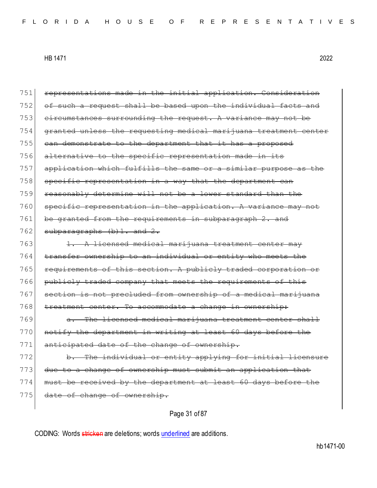| 751 | representations made in the initial application. Consideration   |
|-----|------------------------------------------------------------------|
| 752 | of such a request shall be based upon the individual facts and   |
| 753 | eircumstances surrounding the request. A variance may not be     |
| 754 | granted unless the requesting medical marijuana treatment center |
| 755 | can demonstrate to the department that it has a proposed         |
| 756 | alternative to the specific representation made in its           |
| 757 | application which fulfills the same or a similar purpose as the  |
| 758 | specific representation in a way that the department can         |
| 759 | reasonably determine will not be a lower standard than the       |
| 760 | specific representation in the application. A variance may not   |
| 761 | be granted from the requirements in subparagraph 2. and          |
| 762 | subparagraphs (b) 1. and 2.                                      |
| 763 | 1. A licensed medical marijuana treatment center may             |
| 764 | transfer ownership to an individual or entity who meets the      |
| 765 | requirements of this section. A publicly traded corporation or   |
| 766 | publicly traded company that meets the requirements of this      |
| 767 | section is not precluded from ownership of a medical marijuana   |
| 768 | treatment center. To accommodate a change in ownership:          |
| 769 | a. The licensed medical marijuana treatment center shall         |
| 770 | notify the department in writing at least 60 days before the     |
| 771 | anticipated date of the change of ownership.                     |
| 772 | b. The individual or entity applying for initial licensure       |
| 773 | due to a change of ownership must submit an application that     |
| 774 | must be received by the department at least 60 days before the   |
| 775 | date of change of ownership.                                     |
|     |                                                                  |

Page 31 of 87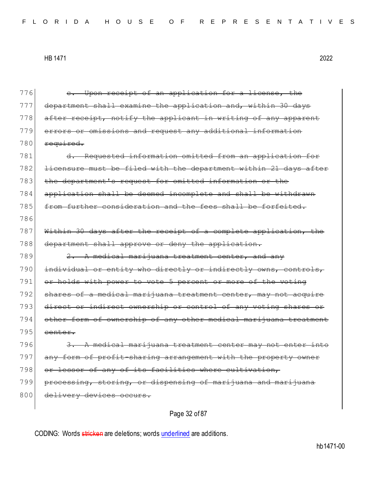| 776 | Upon receipt of an application for a license, the<br>$e_{\bullet}$             |
|-----|--------------------------------------------------------------------------------|
| 777 | department shall examine the application and, within 30<br><del>da vs</del>    |
| 778 | after receipt, notify the applicant in writing of any apparent                 |
| 779 | errors or omissions and request any additional information                     |
| 780 | required.                                                                      |
| 781 | Requested information omitted from an application for<br><del>d.</del>         |
| 782 | licensure must be filed with the department within 21 days after               |
| 783 | department's request for omitted information or the<br><del>the</del>          |
| 784 | application shall be deemed incomplete and<br>-shall be withdrawn              |
| 785 | from further consideration and the fees shall be forfeited.                    |
| 786 |                                                                                |
| 787 | Within 30 days after the receipt of a complete application, the                |
| 788 | department shall approve or deny the application.                              |
| 789 | 2. A medical marijuana treatment center, and any                               |
| 790 | individual or entity who directly or indirectly owns, controls,                |
| 791 | or holds with power to vote 5 percent or more of the voting                    |
| 792 | shares of a medical marijuana treatment center, may not acquire                |
| 793 | direct or indirect ownership or control<br>of any voting shares                |
| 794 | other form of ownership of any other medical marijuana<br><del>treatment</del> |
| 795 | center.                                                                        |
| 796 | A medical marijuana treatment center may not enter into<br>3.                  |
| 797 | any form of profit-sharing arrangement with the property owner                 |
| 798 | or lessor of any of its facilities where cultivation,                          |
| 799 | processing, storing, or dispensing of marijuana and marijuana                  |
| 800 | delivery devices occurs.                                                       |
|     | Page 32 of 87                                                                  |
|     |                                                                                |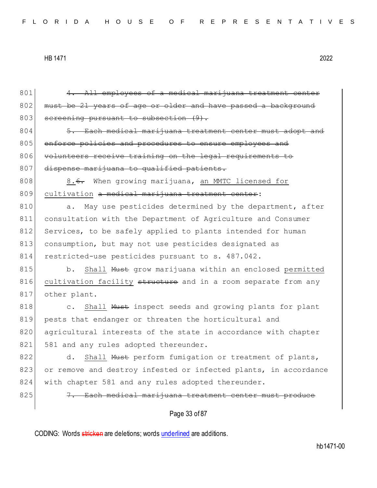| 801 | 4. All employees of a medical marijuana treatment center           |
|-----|--------------------------------------------------------------------|
| 802 | must be 21 years of age or older and have passed a background      |
| 803 | screening pursuant to subsection (9).                              |
| 804 | 5. Each medical marijuana treatment center must adopt and          |
| 805 | enforce policies and procedures to ensure employees and            |
| 806 | volunteers receive training on the legal requirements to           |
| 807 | dispense marijuana to qualified patients.                          |
| 808 | 8. <del>6.</del> When growing marijuana, an MMTC licensed for      |
| 809 | cultivation a medical marijuana treatment center:                  |
| 810 | May use pesticides determined by the department, after<br>a.       |
| 811 | consultation with the Department of Agriculture and Consumer       |
| 812 | Services, to be safely applied to plants intended for human        |
| 813 | consumption, but may not use pesticides designated as              |
| 814 | restricted-use pesticides pursuant to s. 487.042.                  |
| 815 | Shall Must grow marijuana within an enclosed permitted<br>b.       |
| 816 | cultivation facility structure and in a room separate from any     |
| 817 | other plant.                                                       |
| 818 | Shall Must inspect seeds and growing plants for plant<br>$\circ$ . |
| 819 | pests that endanger or threaten the horticultural and              |
| 820 | agricultural interests of the state in accordance with chapter     |
| 821 | 581 and any rules adopted thereunder.                              |
| 822 | d. Shall Must perform fumigation or treatment of plants,           |
| 823 | or remove and destroy infested or infected plants, in accordance   |
| 824 | with chapter 581 and any rules adopted thereunder.                 |
| 825 | 7. Each medical marijuana treatment center must produce            |
|     | Page 33 of 87                                                      |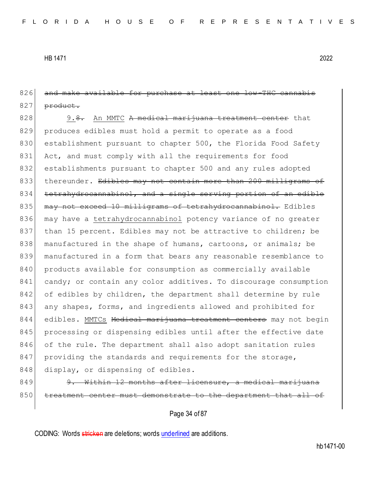826 and make available for purchase at least one low-THC cannabis  $827$  product.

828 9.8. An MMTC A medical marijuana treatment center that 829 produces edibles must hold a permit to operate as a food 830 establishment pursuant to chapter 500, the Florida Food Safety 831 Act, and must comply with all the requirements for food 832 establishments pursuant to chapter 500 and any rules adopted 833 thereunder. Edibles may not contain more than 200 milligrams of 834 tetrahydrocannabinol, and a single serving portion of an edible 835 may not exceed 10 milligrams of tetrahydrocannabinol. Edibles 836 may have a tetrahydrocannabinol potency variance of no greater 837 than 15 percent. Edibles may not be attractive to children; be 838 manufactured in the shape of humans, cartoons, or animals; be 839 manufactured in a form that bears any reasonable resemblance to 840 products available for consumption as commercially available 841 candy; or contain any color additives. To discourage consumption 842 of edibles by children, the department shall determine by rule 843 any shapes, forms, and ingredients allowed and prohibited for 844 edibles. MMTCs <del>Medical marijuana treatment centers</del> may not begin 845 | processing or dispensing edibles until after the effective date 846 of the rule. The department shall also adopt sanitation rules 847 providing the standards and requirements for the storage, 848 display, or dispensing of edibles.

849 9. Within 12 months after licensure, a medical marijuana 850 treatment center must demonstrate to the department that all of

Page 34 of 87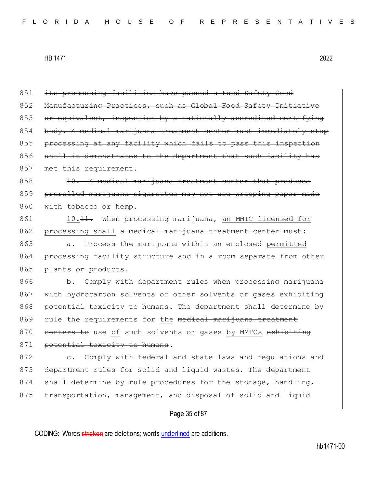851 its processing facilities have passed a Food Safety Good 852 Manufacturing Practices, such as Global Food Safety Initiative 853 or equivalent, inspection by a nationally accredited certifying 854 body. A medical marijuana treatment center must immediately stop 855 processing at any facility which fails to pass this inspection 856 until it demonstrates to the department that such facility has 857 met this requirement.  $858$  10. A medical marijuana treatment center that produces 859 prerolled marijuana cigarettes may not use wrapping paper made 860 with tobacco or hemp. 861 10.11. When processing marijuana, an MMTC licensed for 862 processing shall a medical marijuana treatment center must: 863 a. Process the marijuana within an enclosed permitted 864 processing facility structure and in a room separate from other 865 plants or products. 866 b. Comply with department rules when processing marijuana 867 with hydrocarbon solvents or other solvents or gases exhibiting 868 potential toxicity to humans. The department shall determine by 869 rule the requirements for the medical marijuana treatment 870 centers to use of such solvents or gases by MMTCs exhibiting 871 potential toxicity to humans. 872 c. Comply with federal and state laws and regulations and 873 department rules for solid and liquid wastes. The department 874 shall determine by rule procedures for the storage, handling, 875 transportation, management, and disposal of solid and liquid

# Page 35 of 87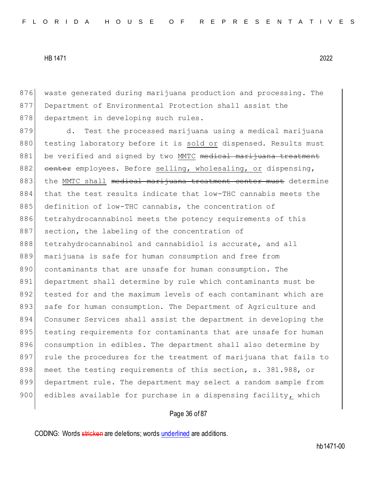876 waste generated during marijuana production and processing. The 877 Department of Environmental Protection shall assist the 878 department in developing such rules.

879 d. Test the processed marijuana using a medical marijuana 880 testing laboratory before it is sold or dispensed. Results must 881 be verified and signed by two MMTC medical marijuana treatment 882 center employees. Before selling, wholesaling, or dispensing, 883 the MMTC shall medical marijuana treatment center must determine 884 that the test results indicate that low-THC cannabis meets the 885 definition of low-THC cannabis, the concentration of 886 tetrahydrocannabinol meets the potency requirements of this 887 section, the labeling of the concentration of 888 tetrahydrocannabinol and cannabidiol is accurate, and all 889 marijuana is safe for human consumption and free from 890 contaminants that are unsafe for human consumption. The 891 department shall determine by rule which contaminants must be 892 tested for and the maximum levels of each contaminant which are 893 safe for human consumption. The Department of Agriculture and 894 Consumer Services shall assist the department in developing the 895 testing requirements for contaminants that are unsafe for human 896 consumption in edibles. The department shall also determine by 897 rule the procedures for the treatment of marijuana that fails to 898 meet the testing requirements of this section, s. 381.988, or 899 department rule. The department may select a random sample from 900 edibles available for purchase in a dispensing facility, which

### Page 36 of 87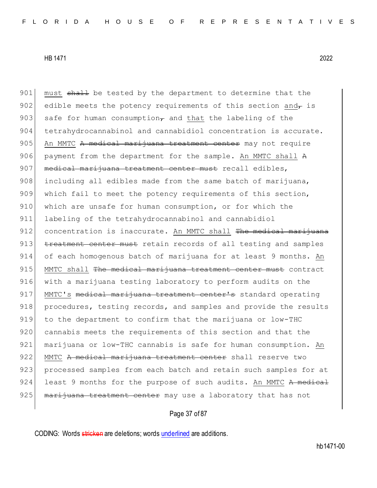901 must shall be tested by the department to determine that the 902 edible meets the potency requirements of this section and  $\tau$  is 903 safe for human consumption, and that the labeling of the 904 tetrahydrocannabinol and cannabidiol concentration is accurate. 905 An MMTC A medical marijuana treatment center may not require 906 payment from the department for the sample. An MMTC shall A 907 medical marijuana treatment center must recall edibles,  $908$  including all edibles made from the same batch of marijuana, 909 which fail to meet the potency requirements of this section, 910 which are unsafe for human consumption, or for which the 911 labeling of the tetrahydrocannabinol and cannabidiol 912 concentration is inaccurate. An MMTC shall <del>The medical marijuana</del> 913 treatment center must retain records of all testing and samples 914 of each homogenous batch of marijuana for at least 9 months. An 915 MMTC shall The medical marijuana treatment center must contract 916 with a marijuana testing laboratory to perform audits on the 917 MMTC's medical marijuana treatment center's standard operating 918 procedures, testing records, and samples and provide the results 919 to the department to confirm that the marijuana or low-THC 920 cannabis meets the requirements of this section and that the 921 marijuana or low-THC cannabis is safe for human consumption. An 922 MMTC <del>A medical marijuana treatment center</del> shall reserve two 923 processed samples from each batch and retain such samples for at 924 least 9 months for the purpose of such audits. An MMTC A medical 925 marijuana treatment center may use a laboratory that has not

## Page 37 of 87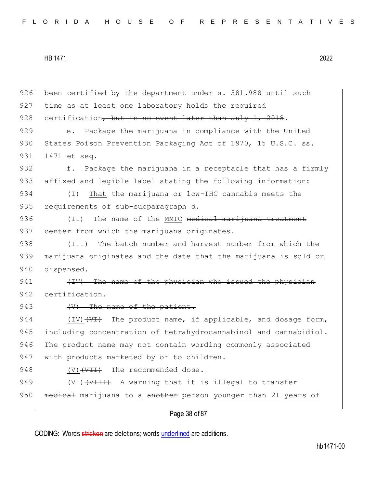|     | Page 38 of 87                                                                      |
|-----|------------------------------------------------------------------------------------|
| 950 | medical marijuana to a another person younger than 21 years of                     |
| 949 | (VI) (VIII) A warning that it is illegal to transfer                               |
| 948 | The recommended dose.<br>$(V) ++++$                                                |
| 947 | with products marketed by or to children.                                          |
| 946 | The product name may not contain wording commonly associated                       |
| 945 | including concentration of tetrahydrocannabinol and cannabidiol.                   |
| 944 | $(IV)$ $\overline{\overline{Y}}$ The product name, if applicable, and dosage form, |
| 943 | $(V)$ The name of the patient.                                                     |
| 942 | certification.                                                                     |
| 941 | (IV) The name of the physician who issued the physician                            |
| 940 | dispensed.                                                                         |
| 939 | marijuana originates and the date that the marijuana is sold or                    |
| 938 | The batch number and harvest number from which the<br>(III)                        |
| 937 | eenter from which the marijuana originates.                                        |
| 936 | The name of the MMTC medical marijuana treatment<br>(TI)                           |
| 935 | requirements of sub-subparagraph d.                                                |
| 934 | That the marijuana or low-THC cannabis meets the<br>$(\top)$                       |
| 933 | affixed and legible label stating the following information:                       |
| 932 | Package the marijuana in a receptacle that has a firmly<br>f.                      |
| 931 | 1471 et seq.                                                                       |
| 930 | States Poison Prevention Packaging Act of 1970, 15 U.S.C. ss.                      |
| 929 | Package the marijuana in compliance with the United<br>$e$ .                       |
| 928 | certification, but in no event later than July 1, 2018.                            |
| 927 | time as at least one laboratory holds the required                                 |
| 926 | been certified by the department under s. 381.988 until such                       |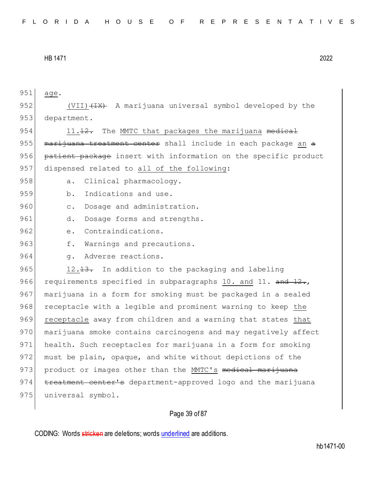| 951 | age.                                                            |
|-----|-----------------------------------------------------------------|
| 952 | (VII) (IX) A marijuana universal symbol developed by the        |
| 953 | department.                                                     |
| 954 | The MMTC that packages the marijuana medical<br>11.12.          |
| 955 | marijuana treatment center shall include in each package an a   |
| 956 | patient package insert with information on the specific product |
| 957 | dispensed related to all of the following:                      |
| 958 | Clinical pharmacology.<br>$a$ .                                 |
| 959 | Indications and use.<br>b.                                      |
| 960 | Dosage and administration.<br>$\overline{C}$ .                  |
| 961 | Dosage forms and strengths.<br>d.                               |
| 962 | Contraindications.<br>$e$ .                                     |
| 963 | Warnings and precautions.<br>f.                                 |
| 964 | Adverse reactions.<br>q.                                        |
| 965 | 12.13. In addition to the packaging and labeling                |
| 966 | requirements specified in subparagraphs 10. and 11. and 12.,    |
| 967 | marijuana in a form for smoking must be packaged in a sealed    |
| 968 | receptacle with a legible and prominent warning to keep the     |
| 969 | receptacle away from children and a warning that states that    |
| 970 | marijuana smoke contains carcinogens and may negatively affect  |
| 971 | health. Such receptacles for marijuana in a form for smoking    |
| 972 | must be plain, opaque, and white without depictions of the      |
| 973 | product or images other than the MMTC's medical marijuana       |
| 974 | treatment center's department-approved logo and the marijuana   |
| 975 | universal symbol.                                               |
|     |                                                                 |

# Page 39 of 87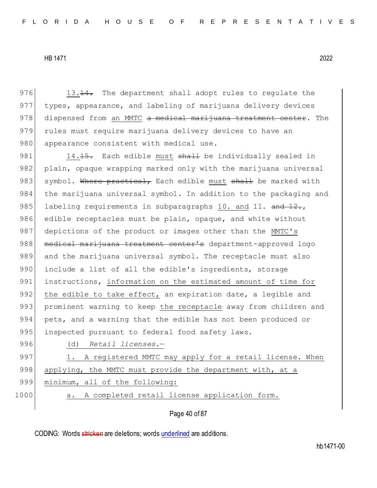$976$  13.<del>14.</del> The department shall adopt rules to requlate the 977 types, appearance, and labeling of marijuana delivery devices 978 dispensed from an MMTC a medical marijuana treatment center. The 979 rules must require marijuana delivery devices to have an 980 appearance consistent with medical use.

981 14.15. Each edible must shall be individually sealed in 982 plain, opaque wrapping marked only with the marijuana universal 983 symbol. Where practical, Each edible must shall be marked with 984 the marijuana universal symbol. In addition to the packaging and 985 labeling requirements in subparagraphs 10. and 11.  $\frac{12}{12}$ , 986 edible receptacles must be plain, opaque, and white without 987 depictions of the product or images other than the MMTC's 988 | medical marijuana treatment center's department-approved logo 989 and the marijuana universal symbol. The receptacle must also 990 include a list of all the edible's ingredients, storage 991 instructions, information on the estimated amount of time for 992 the edible to take effect, an expiration date, a legible and 993 prominent warning to keep the receptacle away from children and 994 pets, and a warning that the edible has not been produced or 995 inspected pursuant to federal food safety laws.

996 (d) *Retail licenses.*—

997 1. A registered MMTC may apply for a retail license. When 998 applying, the MMTC must provide the department with, at a 999 minimum, all of the following:

1000 a. A completed retail license application form.

Page 40 of 87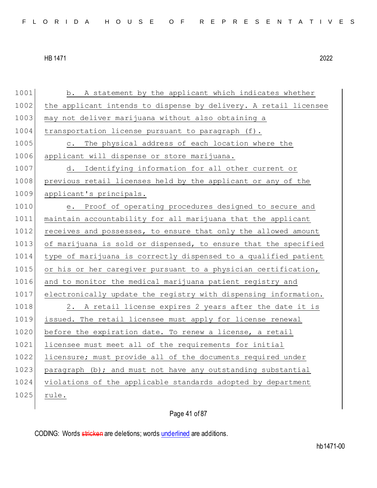1001 b. A statement by the applicant which indicates whether 1002 the applicant intends to dispense by delivery. A retail licensee 1003 may not deliver marijuana without also obtaining a  $1004$  transportation license pursuant to paragraph (f). 1005 c. The physical address of each location where the 1006 applicant will dispense or store marijuana. 1007 d. Identifying information for all other current or 1008 previous retail licenses held by the applicant or any of the 1009 applicant's principals. 1010 e. Proof of operating procedures designed to secure and 1011 maintain accountability for all marijuana that the applicant 1012 receives and possesses, to ensure that only the allowed amount 1013 of marijuana is sold or dispensed, to ensure that the specified 1014 type of marijuana is correctly dispensed to a qualified patient 1015 or his or her caregiver pursuant to a physician certification, 1016 and to monitor the medical marijuana patient registry and 1017 electronically update the registry with dispensing information. 1018 2. A retail license expires 2 years after the date it is 1019 issued. The retail licensee must apply for license renewal  $1020$  before the expiration date. To renew a license, a retail 1021 licensee must meet all of the requirements for initial 1022 licensure; must provide all of the documents required under 1023 paragraph  $(b)$ ; and must not have any outstanding substantial 1024 violations of the applicable standards adopted by department 1025 rule.

Page 41 of 87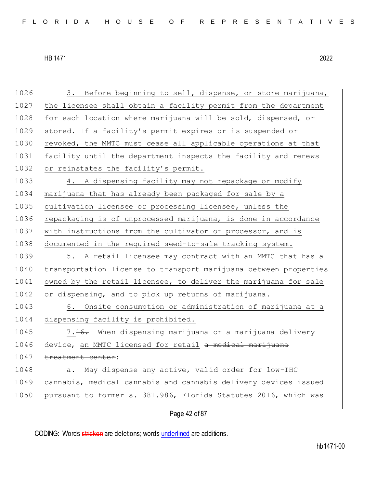Page 42 of 87 1026 3. Before beginning to sell, dispense, or store marijuana, 1027 the licensee shall obtain a facility permit from the department 1028 for each location where marijuana will be sold, dispensed, or 1029 stored. If a facility's permit expires or is suspended or 1030 revoked, the MMTC must cease all applicable operations at that 1031 facility until the department inspects the facility and renews 1032 or reinstates the facility's permit. 1033 4. A dispensing facility may not repackage or modify 1034 marijuana that has already been packaged for sale by a 1035 cultivation licensee or processing licensee, unless the 1036 repackaging is of unprocessed marijuana, is done in accordance 1037 with instructions from the cultivator or processor, and is 1038 documented in the required seed-to-sale tracking system. 1039 5. A retail licensee may contract with an MMTC that has a 1040 transportation license to transport marijuana between properties 1041 owned by the retail licensee, to deliver the marijuana for sale 1042 or dispensing, and to pick up returns of marijuana. 1043 6. Onsite consumption or administration of marijuana at a 1044 dispensing facility is prohibited. 1045 7.16. When dispensing marijuana or a marijuana delivery 1046 device, an MMTC licensed for retail a medical marijuana 1047 treatment center: 1048 a. May dispense any active, valid order for low-THC 1049 cannabis, medical cannabis and cannabis delivery devices issued 1050 pursuant to former s. 381.986, Florida Statutes 2016, which was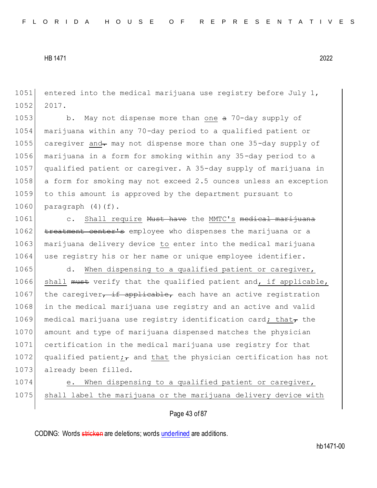1051 entered into the medical marijuana use registry before July 1, 1052 2017.

1053 b. May not dispense more than one a 70-day supply of marijuana within any 70-day period to a qualified patient or 1055 caregiver and may not dispense more than one 35-day supply of marijuana in a form for smoking within any 35-day period to a qualified patient or caregiver. A 35-day supply of marijuana in a form for smoking may not exceed 2.5 ounces unless an exception to this amount is approved by the department pursuant to paragraph  $(4)(f)$ .

1061 c. Shall require Must have the MMTC's medical marijuana 1062 treatment center's employee who dispenses the marijuana or a 1063 marijuana delivery device to enter into the medical marijuana 1064 use registry his or her name or unique employee identifier.

1065 d. When dispensing to a qualified patient or caregiver, 1066 shall must verify that the qualified patient and, if applicable, 1067 the caregiver, if applicable, each have an active registration 1068 in the medical marijuana use registry and an active and valid 1069 medical marijuana use registry identification card; that $_{\tau}$  the 1070 amount and type of marijuana dispensed matches the physician 1071 certification in the medical marijuana use registry for that 1072 qualified patient $\frac{1}{7}$  and that the physician certification has not 1073 already been filled.

1074 e. When dispensing to a qualified patient or caregiver, 1075 shall label the marijuana or the marijuana delivery device with

Page 43 of 87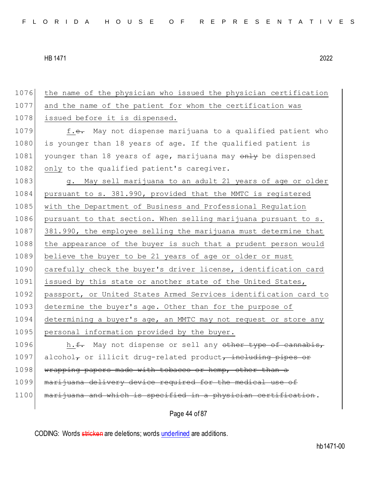| 1076 | the name of the physician who issued the physician certification |
|------|------------------------------------------------------------------|
| 1077 | and the name of the patient for whom the certification was       |
| 1078 | issued before it is dispensed.                                   |
| 1079 | f.e. May not dispense marijuana to a qualified patient who       |
| 1080 | is younger than 18 years of age. If the qualified patient is     |
| 1081 | younger than 18 years of age, marijuana may only be dispensed    |
| 1082 | only to the qualified patient's caregiver.                       |
| 1083 | g. May sell marijuana to an adult 21 years of age or older       |
| 1084 | pursuant to s. 381.990, provided that the MMTC is registered     |
| 1085 | with the Department of Business and Professional Regulation      |
| 1086 | pursuant to that section. When selling marijuana pursuant to s.  |
| 1087 | 381.990, the employee selling the marijuana must determine that  |
| 1088 | the appearance of the buyer is such that a prudent person would  |
| 1089 | believe the buyer to be 21 years of age or older or must         |
| 1090 | carefully check the buyer's driver license, identification card  |
| 1091 | issued by this state or another state of the United States,      |
| 1092 | passport, or United States Armed Services identification card to |
| 1093 | determine the buyer's age. Other than for the purpose of         |
| 1094 | determining a buyer's age, an MMTC may not request or store any  |
| 1095 | personal information provided by the buyer.                      |
| 1096 | h.f. May not dispense or sell any other type of cannabis,        |
| 1097 | alcohol, or illicit drug-related product, including pipes or     |
| 1098 | wrapping papers made with tobacco or hemp, other than a          |
| 1099 | marijuana delivery device required for the medical use of        |
| 1100 | marijuana and which is specified in a physician certification.   |
|      |                                                                  |

Page 44 of 87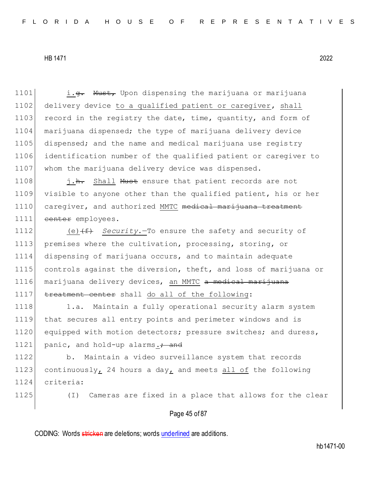1101 i.<del>g.</del> Must, Upon dispensing the marijuana or marijuana 1102 delivery device to a qualified patient or caregiver, shall 1103 record in the registry the date, time, quantity, and form of 1104 marijuana dispensed; the type of marijuana delivery device 1105 dispensed; and the name and medical marijuana use registry 1106 identification number of the qualified patient or caregiver to 1107 whom the marijuana delivery device was dispensed.

1108 i.h. Shall Must ensure that patient records are not 1109 visible to anyone other than the qualified patient, his or her 1110 caregiver, and authorized MMTC medical marijuana treatment 1111 center employees.

1112 (e)<del>(f)</del> *Security*.—To ensure the safety and security of 1113 premises where the cultivation, processing, storing, or 1114 dispensing of marijuana occurs, and to maintain adequate 1115 controls against the diversion, theft, and loss of marijuana or 1116 marijuana delivery devices, an MMTC a medical marijuana 1117 treatment center shall do all of the following:

1118 1.a. Maintain a fully operational security alarm system 1119 that secures all entry points and perimeter windows and is 1120 equipped with motion detectors; pressure switches; and duress, 1121 panic, and hold-up alarms.<sup>2</sup> and

1122 b. Maintain a video surveillance system that records 1123 continuously, 24 hours a day, and meets all of the following 1124 criteria:

1125 (I) Cameras are fixed in a place that allows for the clear

## Page 45 of 87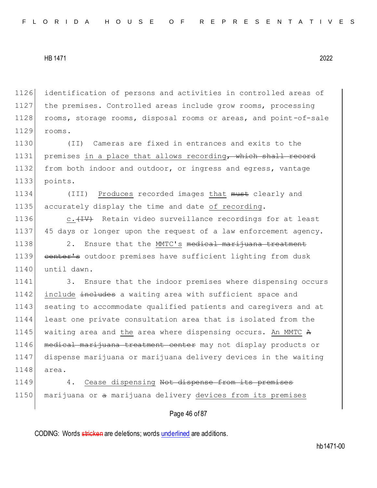1126 identification of persons and activities in controlled areas of 1127 the premises. Controlled areas include grow rooms, processing 1128 rooms, storage rooms, disposal rooms or areas, and point-of-sale 1129 rooms.

1130 (II) Cameras are fixed in entrances and exits to the 1131 premises in a place that allows recording, which shall record 1132 from both indoor and outdoor, or ingress and egress, vantage 1133 points.

1134 (III) Produces recorded images that must clearly and 1135 accurately display the time and date of recording.

1136  $c.$   $(10^{-10}C)$  Retain video surveillance recordings for at least 1137 45 days or longer upon the request of a law enforcement agency.

1138 2. Ensure that the MMTC's medical marijuana treatment 1139 center's outdoor premises have sufficient lighting from dusk 1140 until dawn.

1141 3. Ensure that the indoor premises where dispensing occurs 1142 include includes a waiting area with sufficient space and 1143 seating to accommodate qualified patients and caregivers and at 1144 least one private consultation area that is isolated from the 1145 waiting area and the area where dispensing occurs. An MMTC A 1146 | medical marijuana treatment center may not display products or 1147 dispense marijuana or marijuana delivery devices in the waiting 1148 area.

1149 4. Cease dispensing Not dispense from its premises 1150 marijuana or a marijuana delivery devices from its premises

Page 46 of 87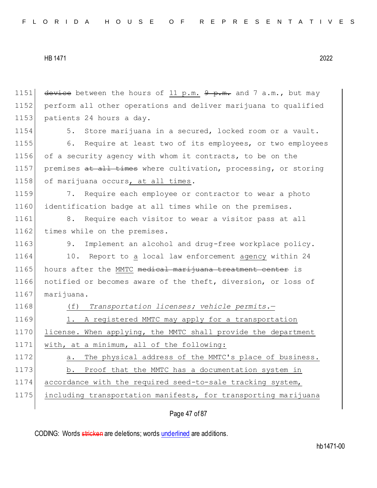1151 device between the hours of 11 p.m.  $9 - m$  and 7 a.m., but may 1152 perform all other operations and deliver marijuana to qualified 1153 patients 24 hours a day. 1154 5. Store marijuana in a secured, locked room or a vault. 1155 6. Require at least two of its employees, or two employees 1156 of a security agency with whom it contracts, to be on the 1157 premises at all times where cultivation, processing, or storing 1158 of marijuana occurs, at all times. 1159 7. Require each employee or contractor to wear a photo 1160 identification badge at all times while on the premises. 1161 8. Require each visitor to wear a visitor pass at all 1162 times while on the premises. 1163 9. Implement an alcohol and drug-free workplace policy. 1164 10. Report to a local law enforcement agency within 24 1165 hours after the MMTC medical marijuana treatment center is 1166 notified or becomes aware of the theft, diversion, or loss of 1167 marijuana. 1168 (f) *Transportation licenses; vehicle permits.*— 1169 1. A registered MMTC may apply for a transportation 1170 license. When applying, the MMTC shall provide the department 1171 with, at a minimum, all of the following: 1172 a. The physical address of the MMTC's place of business. 1173 b. Proof that the MMTC has a documentation system in 1174 accordance with the required seed-to-sale tracking system, 1175 including transportation manifests, for transporting marijuana

Page 47 of 87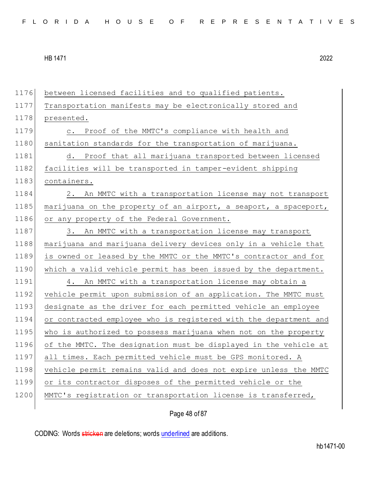1176 between licensed facilities and to qualified patients. 1177 Transportation manifests may be electronically stored and 1178 presented. 1179 c. Proof of the MMTC's compliance with health and 1180 sanitation standards for the transportation of marijuana. 1181 d. Proof that all marijuana transported between licensed 1182 facilities will be transported in tamper-evident shipping 1183 containers. 1184 2. An MMTC with a transportation license may not transport 1185 marijuana on the property of an airport, a seaport, a spaceport, 1186 or any property of the Federal Government. 1187 3. An MMTC with a transportation license may transport 1188 marijuana and marijuana delivery devices only in a vehicle that 1189 is owned or leased by the MMTC or the MMTC's contractor and for 1190 which a valid vehicle permit has been issued by the department. 1191 4. An MMTC with a transportation license may obtain a 1192 vehicle permit upon submission of an application. The MMTC must 1193 designate as the driver for each permitted vehicle an employee 1194 or contracted employee who is registered with the department and 1195 who is authorized to possess marijuana when not on the property 1196 of the MMTC. The designation must be displayed in the vehicle at 1197 all times. Each permitted vehicle must be GPS monitored. A 1198 vehicle permit remains valid and does not expire unless the MMTC 1199 or its contractor disposes of the permitted vehicle or the 1200 MMTC's registration or transportation license is transferred,

Page 48 of 87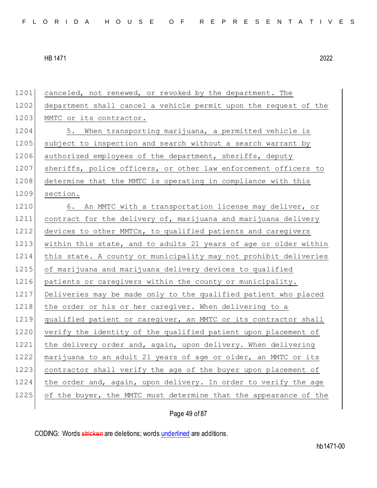1201 canceled, not renewed, or revoked by the department. The 1202 department shall cancel a vehicle permit upon the request of the 1203 MMTC or its contractor. 1204 5. When transporting marijuana, a permitted vehicle is 1205 subject to inspection and search without a search warrant by 1206 authorized employees of the department, sheriffs, deputy 1207 sheriffs, police officers, or other law enforcement officers to 1208 determine that the MMTC is operating in compliance with this 1209 section. 1210 6. An MMTC with a transportation license may deliver, or 1211 contract for the delivery of, marijuana and marijuana delivery 1212 devices to other MMTCs, to qualified patients and caregivers 1213 within this state, and to adults 21 years of age or older within 1214 this state. A county or municipality may not prohibit deliveries 1215 of marijuana and marijuana delivery devices to qualified 1216 patients or caregivers within the county or municipality. 1217 Deliveries may be made only to the qualified patient who placed 1218 the order or his or her caregiver. When delivering to a 1219 qualified patient or caregiver, an MMTC or its contractor shall 1220 verify the identity of the qualified patient upon placement of 1221 the delivery order and, again, upon delivery. When delivering 1222 marijuana to an adult 21 years of age or older, an MMTC or its 1223 contractor shall verify the age of the buyer upon placement of 1224 the order and, again, upon delivery. In order to verify the age 1225 of the buyer, the MMTC must determine that the appearance of the

Page 49 of 87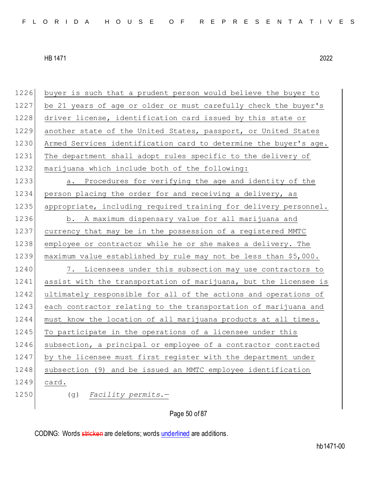1226 buyer is such that a prudent person would believe the buyer to 1227 be 21 years of age or older or must carefully check the buyer's 1228 driver license, identification card issued by this state or 1229 another state of the United States, passport, or United States 1230 Armed Services identification card to determine the buyer's age. 1231 The department shall adopt rules specific to the delivery of 1232 marijuana which include both of the following: 1233 a. Procedures for verifying the age and identity of the 1234 person placing the order for and receiving a delivery, as 1235 appropriate, including required training for delivery personnel. 1236 b. A maximum dispensary value for all marijuana and 1237 currency that may be in the possession of a registered MMTC 1238 employee or contractor while he or she makes a delivery. The 1239 maximum value established by rule may not be less than \$5,000. 1240 7. Licensees under this subsection may use contractors to 1241 assist with the transportation of marijuana, but the licensee is 1242 ultimately responsible for all of the actions and operations of 1243 each contractor relating to the transportation of marijuana and 1244 must know the location of all marijuana products at all times. 1245 To participate in the operations of a licensee under this 1246 subsection, a principal or employee of a contractor contracted 1247 by the licensee must first register with the department under 1248 subsection (9) and be issued an MMTC employee identification 1249 card. 1250 (g) *Facility permits.*—

Page 50 of 87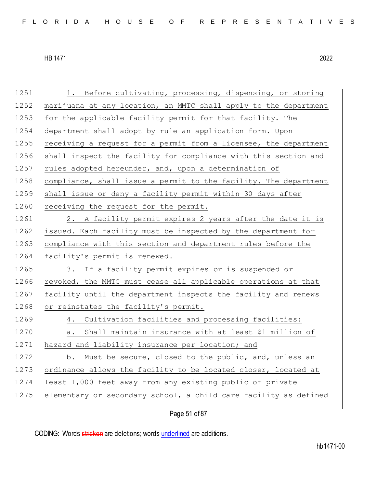1251 1. Before cultivating, processing, dispensing, or storing 1252 marijuana at any location, an MMTC shall apply to the department 1253 for the applicable facility permit for that facility. The 1254 department shall adopt by rule an application form. Upon 1255 receiving a request for a permit from a licensee, the department 1256 shall inspect the facility for compliance with this section and 1257 rules adopted hereunder, and, upon a determination of 1258 compliance, shall issue a permit to the facility. The department 1259 shall issue or deny a facility permit within 30 days after 1260 receiving the request for the permit. 1261 2. A facility permit expires 2 years after the date it is 1262 issued. Each facility must be inspected by the department for 1263 compliance with this section and department rules before the 1264 facility's permit is renewed. 1265 3. If a facility permit expires or is suspended or 1266 revoked, the MMTC must cease all applicable operations at that 1267 facility until the department inspects the facility and renews 1268 or reinstates the facility's permit. 1269 4. Cultivation facilities and processing facilities: 1270 a. Shall maintain insurance with at least \$1 million of 1271 hazard and liability insurance per location; and 1272 b. Must be secure, closed to the public, and, unless an 1273 ordinance allows the facility to be located closer, located at 1274 least 1,000 feet away from any existing public or private 1275 elementary or secondary school, a child care facility as defined

Page 51 of 87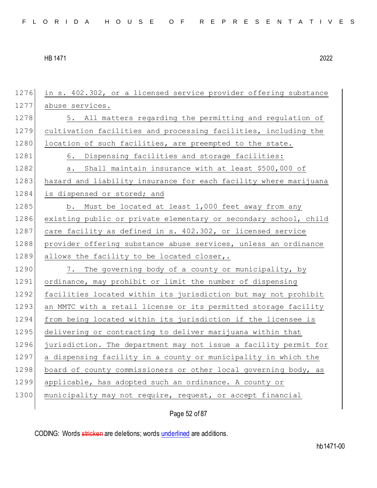1276 in s. 402.302, or a licensed service provider offering substance 1277 abuse services. 1278 5. All matters regarding the permitting and regulation of 1279 cultivation facilities and processing facilities, including the  $1280$  location of such facilities, are preempted to the state. 1281 6. Dispensing facilities and storage facilities: 1282 a. Shall maintain insurance with at least \$500,000 of 1283 hazard and liability insurance for each facility where marijuana 1284 is dispensed or stored; and 1285 b. Must be located at least 1,000 feet away from any 1286 existing public or private elementary or secondary school, child 1287 care facility as defined in s. 402.302, or licensed service 1288 provider offering substance abuse services, unless an ordinance 1289 allows the facility to be located closer,. 1290 7. The governing body of a county or municipality, by 1291 ordinance, may prohibit or limit the number of dispensing 1292 facilities located within its jurisdiction but may not prohibit 1293 an MMTC with a retail license or its permitted storage facility 1294 from being located within its jurisdiction if the licensee is 1295 delivering or contracting to deliver marijuana within that 1296 jurisdiction. The department may not issue a facility permit for 1297 a dispensing facility in a county or municipality in which the 1298 board of county commissioners or other local governing body, as 1299 applicable, has adopted such an ordinance. A county or 1300 municipality may not require, request, or accept financial

Page 52 of 87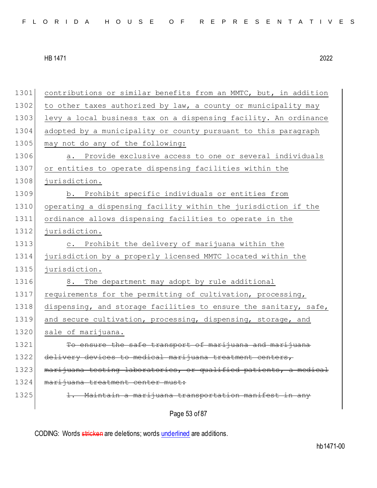Page 53 of 87 1301 contributions or similar benefits from an MMTC, but, in addition 1302 to other taxes authorized by law, a county or municipality may 1303 levy a local business tax on a dispensing facility. An ordinance 1304 adopted by a municipality or county pursuant to this paragraph 1305 may not do any of the following: 1306 **a.** Provide exclusive access to one or several individuals 1307 or entities to operate dispensing facilities within the 1308 jurisdiction. 1309 b. Prohibit specific individuals or entities from 1310 operating a dispensing facility within the jurisdiction if the 1311 ordinance allows dispensing facilities to operate in the 1312 jurisdiction. 1313 c. Prohibit the delivery of marijuana within the 1314 jurisdiction by a properly licensed MMTC located within the 1315 jurisdiction. 1316 8. The department may adopt by rule additional 1317 requirements for the permitting of cultivation, processing, 1318 dispensing, and storage facilities to ensure the sanitary, safe, 1319 and secure cultivation, processing, dispensing, storage, and 1320 sale of marijuana. 1321 To ensure the safe transport of marijuana and marijuana 1322 delivery devices to medical marijuana treatment centers, 1323 marijuana testing laboratories, or qualified patients, a medical 1324 | marijuana treatment center must: 1325 1. Maintain a marijuana transportation manifest in any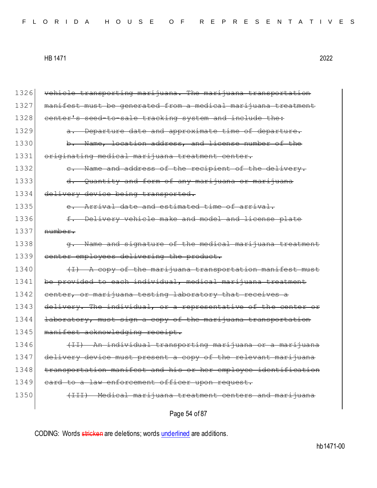| 1326 | vehicle transporting marijuana. The marijuana transportation        |
|------|---------------------------------------------------------------------|
| 1327 | manifest must be generated from a medical marijuana treatment       |
| 1328 | center's seed-to-sale tracking system and include the:              |
| 1329 | Departure date and approximate time of departure.                   |
| 1330 | b. Name, location address, and license number of the                |
| 1331 | originating medical marijuana treatment center.                     |
| 1332 | - Name and address of the recipient of the delivery.<br>$e_{\cdot}$ |
| 1333 | Quantity and form of any marijuana or marijuana                     |
| 1334 | delivery device being transported.                                  |
| 1335 | e. Arrival date and estimated time of arrival.                      |
| 1336 | Delivery vehicle make and model and license plate<br>$f$ .          |
| 1337 | number.                                                             |
| 1338 | Name and signature of the medical marijuana treatment               |
| 1339 | center employees delivering the product.                            |
| 1340 | $(1)$ A copy of the marijuana transportation manifest must          |
| 1341 | be provided to each individual, medical marijuana treatment         |
| 1342 | center, or marijuana testing laboratory that receives a             |
| 1343 | delivery. The individual, or a representative of the center or      |
| 1344 | laboratory, must sign a copy of the marijuana transportation        |
| 1345 | manifest acknowledging receipt.                                     |
| 1346 | (II) An individual transporting marijuana or a marijuana            |
| 1347 | delivery device must present a copy of the relevant marijuana       |
| 1348 | transportation manifest and his or her employee identification      |
| 1349 | eard to a law enforcement officer upon request.                     |
| 1350 | (III) Medical marijuana treatment centers and marijuana             |
|      |                                                                     |

Page 54 of 87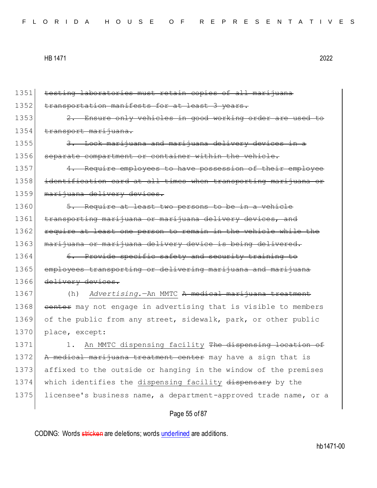| 1351 | testing laboratories must retain copies of all marijuana         |
|------|------------------------------------------------------------------|
| 1352 | transportation manifests for at least 3 years.                   |
| 1353 | 2. Ensure only vehicles in good working order are used to        |
| 1354 | transport marijuana.                                             |
| 1355 | 3. Lock marijuana and marijuana delivery devices in a            |
| 1356 | separate compartment or container within the vehicle.            |
| 1357 | 4. Require employees to have possession of their employee        |
| 1358 | identification card at all times when transporting marijuana or  |
| 1359 | marijuana delivery devices.                                      |
| 1360 | 5. Require at least two persons to be in a vehicle               |
| 1361 | transporting marijuana or marijuana delivery devices, and        |
| 1362 | require at least one person to remain in the vehicle while the   |
| 1363 | marijuana or marijuana delivery device is being delivered.       |
| 1364 | 6. Provide specific safety and security training to              |
| 1365 | employees transporting or delivering marijuana and marijuana     |
| 1366 | delivery devices.                                                |
| 1367 | Advertising. - An MMTC A medical marijuana treatment<br>(h)      |
| 1368 | eenter may not engage in advertising that is visible to members  |
| 1369 | of the public from any street, sidewalk, park, or other public   |
| 1370 | place, except:                                                   |
| 1371 | An MMTC dispensing facility The dispensing location of<br>1.     |
| 1372 | A medical marijuana treatment center may have a sign that is     |
| 1373 | affixed to the outside or hanging in the window of the premises  |
| 1374 | which identifies the dispensing facility dispensary by the       |
| 1375 | licensee's business name, a department-approved trade name, or a |
|      | Page 55 of 87                                                    |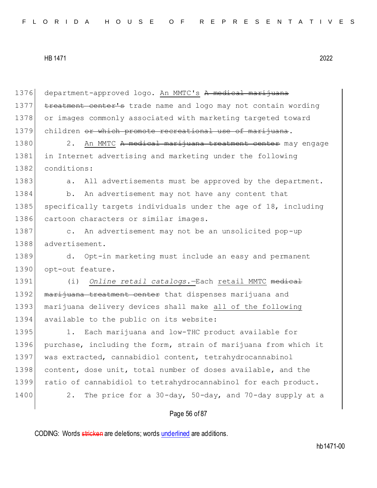Page 56 of 87 1376 department-approved logo. An MMTC's A medical marijuana 1377 treatment center's trade name and logo may not contain wording 1378 or images commonly associated with marketing targeted toward 1379 children <del>or which promote recreational use of marijuana</del>. 1380 2. An MMTC A medical marijuana treatment center may engage 1381 in Internet advertising and marketing under the following 1382 conditions: 1383 a. All advertisements must be approved by the department. 1384 b. An advertisement may not have any content that 1385 specifically targets individuals under the age of 18, including 1386 cartoon characters or similar images. 1387 c. An advertisement may not be an unsolicited pop-up 1388 advertisement. 1389 d. Opt-in marketing must include an easy and permanent 1390 opt-out feature. 1391 (i) *Online retail catalogs.*—Each retail MMTC medical 1392 marijuana treatment center that dispenses marijuana and 1393 marijuana delivery devices shall make all of the following 1394 available to the public on its website: 1395 1. Each marijuana and low-THC product available for 1396 purchase, including the form, strain of marijuana from which it 1397 was extracted, cannabidiol content, tetrahydrocannabinol 1398 content, dose unit, total number of doses available, and the 1399 ratio of cannabidiol to tetrahydrocannabinol for each product. 1400 2. The price for a 30-day, 50-day, and 70-day supply at a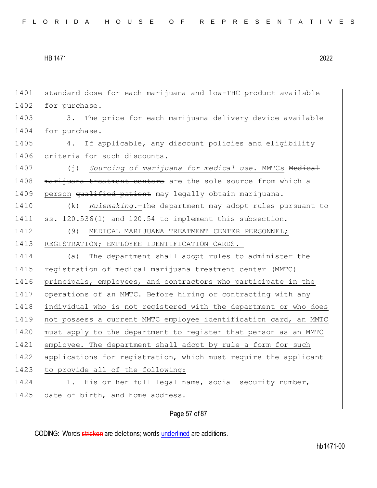```
HB 1471 2022
```
1401 standard dose for each marijuana and low-THC product available 1402 for purchase. 1403 3. The price for each marijuana delivery device available 1404 for purchase. 1405 4. If applicable, any discount policies and eligibility 1406 criteria for such discounts. 1407 (j) *Sourcing of marijuana for medical use.*—MMTCs Medical 1408 marijuana treatment centers are the sole source from which a 1409 person <del>qualified patient</del> may legally obtain marijuana. 1410 (k) *Rulemaking.*—The department may adopt rules pursuant to 1411 ss. 120.536(1) and 120.54 to implement this subsection. 1412 (9) MEDICAL MARIJUANA TREATMENT CENTER PERSONNEL; 1413 REGISTRATION; EMPLOYEE IDENTIFICATION CARDS.-1414 (a) The department shall adopt rules to administer the 1415 registration of medical marijuana treatment center (MMTC) 1416 principals, employees, and contractors who participate in the 1417 operations of an MMTC. Before hiring or contracting with any 1418 individual who is not registered with the department or who does 1419 not possess a current MMTC employee identification card, an MMTC 1420 must apply to the department to register that person as an MMTC 1421 employee. The department shall adopt by rule a form for such 1422 applications for registration, which must require the applicant 1423 to provide all of the following: 1424 1. His or her full legal name, social security number, 1425 date of birth, and home address.

Page 57 of 87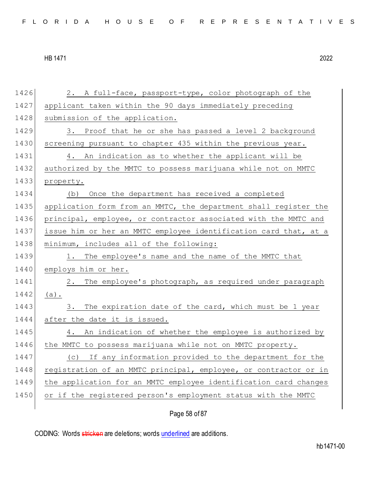1426 2. A full-face, passport-type, color photograph of the 1427 applicant taken within the 90 days immediately preceding 1428 submission of the application. 1429 3. Proof that he or she has passed a level 2 background 1430 screening pursuant to chapter 435 within the previous year. 1431 4. An indication as to whether the applicant will be 1432 authorized by the MMTC to possess marijuana while not on MMTC 1433 property. 1434 (b) Once the department has received a completed 1435 application form from an MMTC, the department shall register the 1436 principal, employee, or contractor associated with the MMTC and 1437 issue him or her an MMTC employee identification card that, at a 1438 minimum, includes all of the following: 1439 1. The employee's name and the name of the MMTC that 1440 employs him or her. 1441 2. The employee's photograph, as required under paragraph 1442 (a). 1443 3. The expiration date of the card, which must be 1 year 1444 after the date it is issued. 1445 4. An indication of whether the employee is authorized by 1446 | the MMTC to possess marijuana while not on MMTC property. 1447 (c) If any information provided to the department for the 1448 registration of an MMTC principal, employee, or contractor or in 1449 the application for an MMTC employee identification card changes 1450 or if the registered person's employment status with the MMTC

Page 58 of 87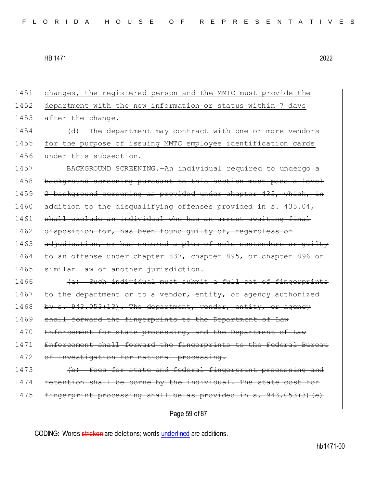1451 changes, the registered person and the MMTC must provide the 1452 department with the new information or status within 7 days 1453 after the change. 1454 (d) The department may contract with one or more vendors 1455 for the purpose of issuing MMTC employee identification cards 1456 under this subsection. 1457 BACKGROUND SCREENING.—An individual required to undergo a 1458 background screening pursuant to this section must pass a level 1459 2 background screening as provided under chapter 435, which, in 1460 addition to the disqualifying offenses provided in s. 435.04, 1461 shall exclude an individual who has an arrest awaiting final 1462 disposition for, has been found quilty of, regardless of 1463 adjudication, or has entered a plea of nolo contendere or quilty 1464 to an offense under chapter 837, chapter 895, or chapter 896 or 1465 similar law of another jurisdiction.  $1466$  (a) Such individual must submit a full set of fingerprints 1467 to the department or to a vendor, entity, or agency authorized 1468 by s. 943.053(13). The department, vendor, entity, or agency 1469 shall forward the fingerprints to the Department 1470 Enforcement for state processing, and the Department of Law 1471 Enforcement shall forward the fingerprints to the Federal Bureau 1472 of Investigation for national processing. 1473 (b) Fees for state and federal fingerprint processing and 1474 retention shall be borne by the individual. The state cost for 1475 fingerprint processing shall be as provided in s. 943.053(3) (e)

Page 59 of 87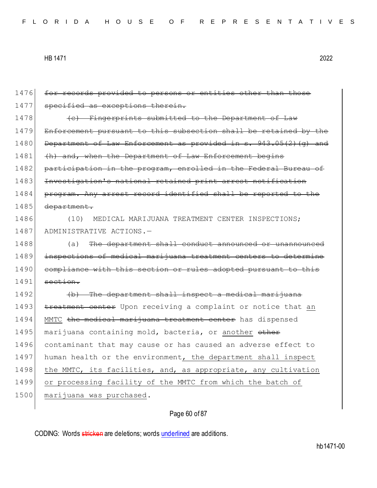1476 for records provided to persons or entities other than those 1477 specified as exceptions therein. 1478 **(c)** Fingerprints submitted to the Department of Law 1479 Enforcement pursuant to this subsection shall be retained by the 1480 Department of Law Enforcement as provided in s. 943.05(2)(g) and 1481 (h) and, when the Department of Law Enforcement begins 1482 participation in the program, enrolled in the Federal Bureau of 1483 Investigation's national retained print arrest notification 1484 program. Any arrest record identified shall be reported to the 1485 department. 1486 (10) MEDICAL MARIJUANA TREATMENT CENTER INSPECTIONS; 1487 ADMINISTRATIVE ACTIONS.-1488 (a) The department shall conduct announced or unannounced 1489 inspections of medical marijuana treatment centers to determine 1490 compliance with this section or rules adopted pursuant to this  $1491$  section. 1492 (b) The department shall inspect a medical marijuana 1493 treatment center Upon receiving a complaint or notice that an 1494 MMTC the medical marijuana treatment center has dispensed 1495 marijuana containing mold, bacteria, or another other 1496 contaminant that may cause or has caused an adverse effect to 1497 human health or the environment, the department shall inspect 1498 the MMTC, its facilities, and, as appropriate, any cultivation 1499 or processing facility of the MMTC from which the batch of 1500 marijuana was purchased.

Page 60 of 87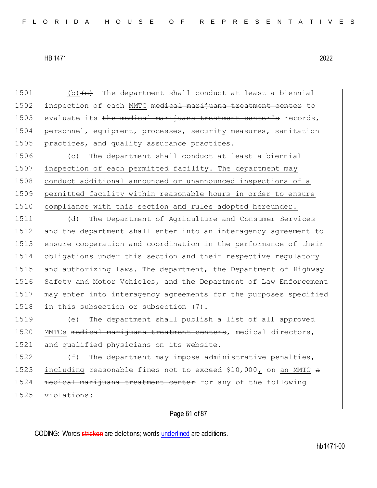1501 (b) $\left\{ e\right\}$  The department shall conduct at least a biennial 1502 inspection of each MMTC medical marijuana treatment center to 1503 evaluate its the medical marijuana treatment center's records, 1504 personnel, equipment, processes, security measures, sanitation 1505 practices, and quality assurance practices.

1506 (c) The department shall conduct at least a biennial 1507 inspection of each permitted facility. The department may 1508 conduct additional announced or unannounced inspections of a 1509 permitted facility within reasonable hours in order to ensure 1510 compliance with this section and rules adopted hereunder.

 (d) The Department of Agriculture and Consumer Services and the department shall enter into an interagency agreement to ensure cooperation and coordination in the performance of their obligations under this section and their respective regulatory and authorizing laws. The department, the Department of Highway 1516 Safety and Motor Vehicles, and the Department of Law Enforcement may enter into interagency agreements for the purposes specified 1518 in this subsection or subsection (7).

1519 (e) The department shall publish a list of all approved 1520 MMTCs medical marijuana treatment centers, medical directors, 1521 and qualified physicians on its website.

1522 (f) The department may impose administrative penalties, 1523 including reasonable fines not to exceed  $$10,000$ , on an MMTC a 1524 medical marijuana treatment center for any of the following 1525 violations:

## Page 61 of 87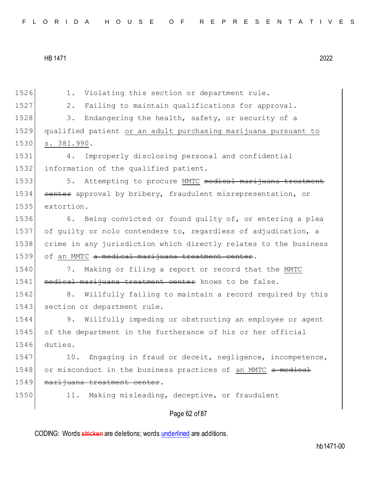1526 1. Violating this section or department rule. 1527 2. Failing to maintain qualifications for approval. 1528 3. Endangering the health, safety, or security of a 1529 qualified patient or an adult purchasing marijuana pursuant to 1530 s. 381.990. 1531 4. Improperly disclosing personal and confidential 1532 information of the qualified patient. 1533 5. Attempting to procure MMTC medical marijuana treatment 1534 center approval by bribery, fraudulent misrepresentation, or 1535 extortion. 1536 6. Being convicted or found quilty of, or entering a plea 1537 of guilty or nolo contendere to, regardless of adjudication, a 1538 crime in any jurisdiction which directly relates to the business 1539 of an MMTC a medical marijuana treatment center. 1540 7. Making or filing a report or record that the MMTC 1541 medical marijuana treatment center knows to be false. 1542 8. Willfully failing to maintain a record required by this 1543 section or department rule. 1544 9. Willfully impeding or obstructing an employee or agent 1545 of the department in the furtherance of his or her official 1546 duties. 1547 10. Engaging in fraud or deceit, negligence, incompetence, 1548 or misconduct in the business practices of an MMTC a medical 1549 marijuana treatment center. 1550 11. Making misleading, deceptive, or fraudulent

Page 62 of 87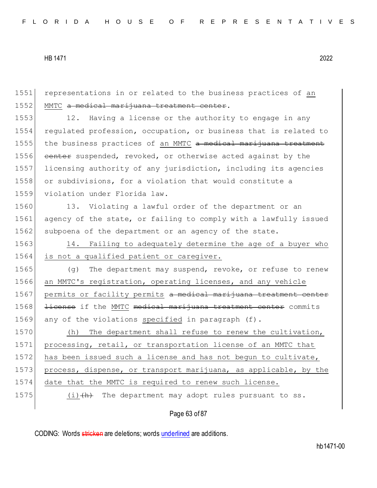1551 representations in or related to the business practices of an 1552 MMTC a medical marijuana treatment center. 1553 12. Having a license or the authority to engage in any 1554 regulated profession, occupation, or business that is related to 1555 the business practices of an MMTC a medical marijuana treatment 1556 center suspended, revoked, or otherwise acted against by the 1557 licensing authority of any jurisdiction, including its agencies 1558 or subdivisions, for a violation that would constitute a 1559 violation under Florida law. 1560 13. Violating a lawful order of the department or an 1561 agency of the state, or failing to comply with a lawfully issued 1562 subpoena of the department or an agency of the state. 1563 14. Failing to adequately determine the age of a buyer who 1564 is not a qualified patient or caregiver. 1565 (g) The department may suspend, revoke, or refuse to renew 1566 an MMTC's registration, operating licenses, and any vehicle 1567 permits or facility permits a medical marijuana treatment center 1568 <del>license</del> if the MMTC medical marijuana treatment center commits 1569 any of the violations specified in paragraph (f). 1570 (h) The department shall refuse to renew the cultivation, 1571 processing, retail, or transportation license of an MMTC that 1572 has been issued such a license and has not begun to cultivate, 1573 process, dispense, or transport marijuana, as applicable, by the 1574 date that the MMTC is required to renew such license. 1575  $(i)$   $(h)$  The department may adopt rules pursuant to ss.

Page 63 of 87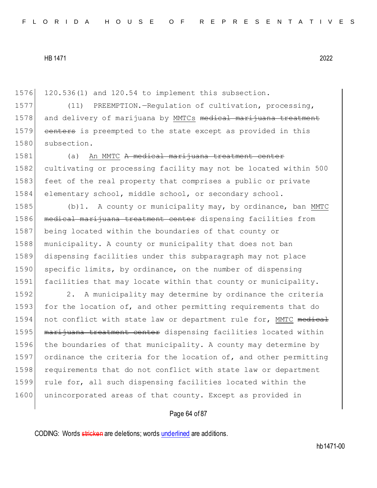1576 120.536(1) and 120.54 to implement this subsection.

1577 (11) PREEMPTION. - Regulation of cultivation, processing, 1578 and delivery of marijuana by MMTCs medical marijuana treatment 1579 centers is preempted to the state except as provided in this 1580 subsection.

1581 (a) An MMTC A medical marijuana treatment center 1582 cultivating or processing facility may not be located within 500 1583 feet of the real property that comprises a public or private 1584 elementary school, middle school, or secondary school.

1585 (b)1. A county or municipality may, by ordinance, ban MMTC 1586 medical marijuana treatment center dispensing facilities from 1587 being located within the boundaries of that county or 1588 municipality. A county or municipality that does not ban 1589 dispensing facilities under this subparagraph may not place 1590 specific limits, by ordinance, on the number of dispensing 1591 facilities that may locate within that county or municipality.

1592 2. A municipality may determine by ordinance the criteria 1593 for the location of, and other permitting requirements that do 1594 not conflict with state law or department rule for, MMTC medical 1595 marijuana treatment center dispensing facilities located within 1596 the boundaries of that municipality. A county may determine by 1597 ordinance the criteria for the location of, and other permitting 1598 requirements that do not conflict with state law or department 1599 rule for, all such dispensing facilities located within the 1600 unincorporated areas of that county. Except as provided in

### Page 64 of 87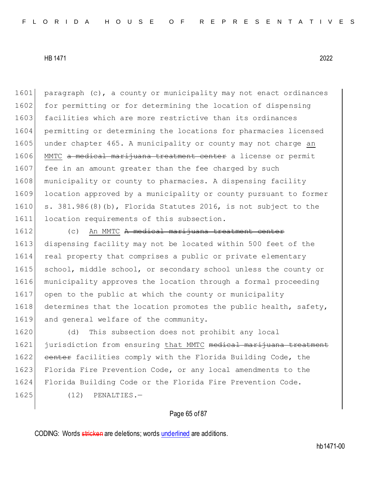1601 paragraph (c), a county or municipality may not enact ordinances 1602 for permitting or for determining the location of dispensing 1603 facilities which are more restrictive than its ordinances 1604 permitting or determining the locations for pharmacies licensed 1605 under chapter 465. A municipality or county may not charge an 1606 MMTC a medical marijuana treatment center a license or permit 1607 fee in an amount greater than the fee charged by such 1608 municipality or county to pharmacies. A dispensing facility 1609 location approved by a municipality or county pursuant to former 1610 s.  $381.986(8)$  (b), Florida Statutes 2016, is not subject to the 1611 location requirements of this subsection.

1612 (c) An MMTC A medical marijuana treatment center 1613 dispensing facility may not be located within 500 feet of the 1614 real property that comprises a public or private elementary 1615 school, middle school, or secondary school unless the county or 1616 municipality approves the location through a formal proceeding 1617 open to the public at which the county or municipality 1618 determines that the location promotes the public health, safety, 1619 and general welfare of the community.

1620 (d) This subsection does not prohibit any local 1621 jurisdiction from ensuring that MMTC medical marijuana treatment 1622 center facilities comply with the Florida Building Code, the 1623 Florida Fire Prevention Code, or any local amendments to the 1624 Florida Building Code or the Florida Fire Prevention Code. 1625 (12) PENALTIES.—

### Page 65 of 87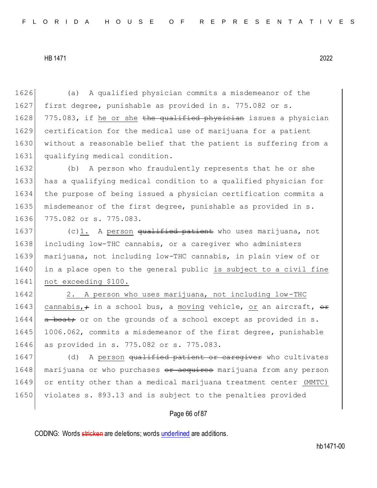1626 (a) A qualified physician commits a misdemeanor of the 1627 first degree, punishable as provided in s. 775.082 or s. 1628 775.083, if he or she the qualified physician issues a physician 1629 certification for the medical use of marijuana for a patient 1630 without a reasonable belief that the patient is suffering from a 1631 qualifying medical condition.

 (b) A person who fraudulently represents that he or she 1633 has a qualifying medical condition to a qualified physician for the purpose of being issued a physician certification commits a misdemeanor of the first degree, punishable as provided in s. 775.082 or s. 775.083.

1637 (c)1. A person <del>qualified patient</del> who uses marijuana, not including low-THC cannabis, or a caregiver who administers marijuana, not including low-THC cannabis, in plain view of or in a place open to the general public is subject to a civil fine not exceeding \$100.

1642 2. A person who uses marijuana, not including low-THC 1643 cannabis,  $\div$  in a school bus, a moving vehicle, or an aircraft,  $\leftrightarrow$ 1644 a boat; or on the grounds of a school except as provided in s. 1645 1006.062, commits a misdemeanor of the first degree, punishable 1646 as provided in s. 775.082 or s. 775.083.

1647 (d) A person <del>qualified patient or caregiver</del> who cultivates 1648 marijuana or who purchases or acquires marijuana from any person 1649 or entity other than a medical marijuana treatment center (MMTC) 1650 violates s. 893.13 and is subject to the penalties provided

### Page 66 of 87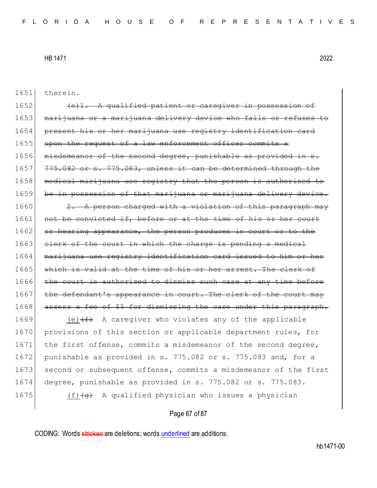| 1651 | therein.                                                             |
|------|----------------------------------------------------------------------|
| 1652 | (e)1. A qualified patient or caregiver in possession of              |
| 1653 | marijuana or a marijuana delivery device who fails or refuses to     |
| 1654 | present his or her marijuana use registry identification card        |
| 1655 | upon the request of a law enforcement officer commits a              |
| 1656 | misdemeanor of the second degree, punishable as provided in s.       |
| 1657 | 775.082 or s. 775.083, unless it can be determined through the       |
| 1658 | medical marijuana use registry that the person is authorized to      |
| 1659 | be in possession of that marijuana or marijuana delivery device.     |
| 1660 | 2. A person charged with a violation of this paragraph may           |
| 1661 | not be convicted if, before or at the time of his or her court       |
| 1662 | or hearing appearance, the person produces in court or to the        |
| 1663 | elerk of the court in which the charge is pending a medical          |
| 1664 | marijuana use registry identification card issued to him or her      |
| 1665 | which is valid at the time of his or her arrest. The clerk of        |
| 1666 | the court is authorized to dismiss such case at any time before      |
| 1667 | the defendant's appearance in court. The clerk of the court may      |
| 1668 | assess a fee of \$5 for dismissing the case under this paragraph.    |
| 1669 | (e) $(f)$ A caregiver who violates any of the applicable             |
| 1670 | provisions of this section or applicable department rules, for       |
| 1671 | the first offense, commits a misdemeanor of the second degree,       |
| 1672 | punishable as provided in s. 775.082 or s. 775.083 and, for a        |
| 1673 | second or subsequent offense, commits a misdemeanor of the first     |
| 1674 | degree, punishable as provided in s. 775.082 or s. 775.083.          |
| 1675 | A qualified physician who issues a physician<br>$(f)$ $\overline{q}$ |
|      |                                                                      |

# Page 67 of 87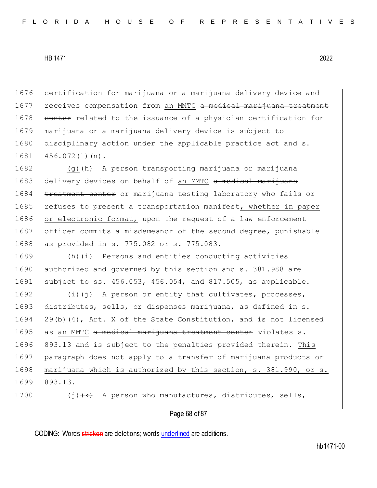1676 certification for marijuana or a marijuana delivery device and 1677 receives compensation from an MMTC a medical marijuana treatment 1678 center related to the issuance of a physician certification for 1679 marijuana or a marijuana delivery device is subject to 1680 disciplinary action under the applicable practice act and s. 1681 456.072(1)(n).

1682 (g) (d) A person transporting marijuana or marijuana 1683 delivery devices on behalf of an MMTC a medical marijuana 1684 treatment center or marijuana testing laboratory who fails or 1685 refuses to present a transportation manifest, whether in paper 1686 or electronic format, upon the request of a law enforcement 1687 officer commits a misdemeanor of the second degree, punishable 1688 as provided in s. 775.082 or s. 775.083.

1689  $(h)$   $(i)$  Persons and entities conducting activities 1690 authorized and governed by this section and s. 381.988 are 1691 subject to ss. 456.053, 456.054, and 817.505, as applicable.

1692  $(i)$   $(i)$   $(i)$  A person or entity that cultivates, processes, 1693 distributes, sells, or dispenses marijuana, as defined in s. 1694 29(b)(4), Art. X of the State Constitution, and is not licensed 1695 as an MMTC a medical marijuana treatment center violates s. 1696 893.13 and is subject to the penalties provided therein. This 1697 paragraph does not apply to a transfer of marijuana products or 1698 marijuana which is authorized by this section, s. 381.990, or s. 1699 893.13.

1700  $(j)$   $(k)$  A person who manufactures, distributes, sells,

### Page 68 of 87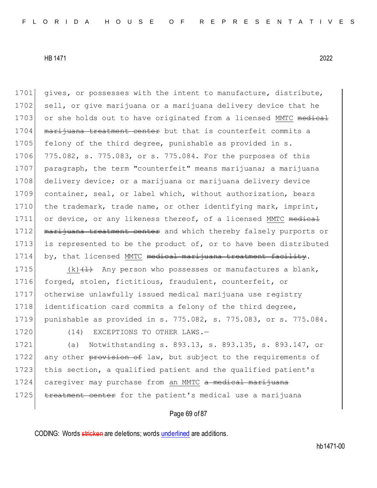1701 gives, or possesses with the intent to manufacture, distribute, 1702 sell, or give marijuana or a marijuana delivery device that he 1703 or she holds out to have originated from a licensed MMTC medical 1704 marijuana treatment center but that is counterfeit commits a 1705 felony of the third degree, punishable as provided in s. 1706 775.082, s. 775.083, or s. 775.084. For the purposes of this 1707 paragraph, the term "counterfeit" means marijuana; a marijuana 1708 delivery device; or a marijuana or marijuana delivery device 1709 container, seal, or label which, without authorization, bears 1710 the trademark, trade name, or other identifying mark, imprint, 1711 or device, or any likeness thereof, of a licensed MMTC medical 1712 marijuana treatment center and which thereby falsely purports or 1713 is represented to be the product of, or to have been distributed 1714 by, that licensed MMTC medical marijuana treatment facility.

 $(k)$   $(1)$  Any person who possesses or manufactures a blank, forged, stolen, fictitious, fraudulent, counterfeit, or otherwise unlawfully issued medical marijuana use registry 1718 identification card commits a felony of the third degree, punishable as provided in s. 775.082, s. 775.083, or s. 775.084.

1720 (14) EXCEPTIONS TO OTHER LAWS.-

1721 (a) Notwithstanding s. 893.13, s. 893.135, s. 893.147, or 1722 any other provision of law, but subject to the requirements of 1723 this section, a qualified patient and the qualified patient's 1724 caregiver may purchase from an MMTC a medical marijuana 1725 treatment center for the patient's medical use a marijuana

## Page 69 of 87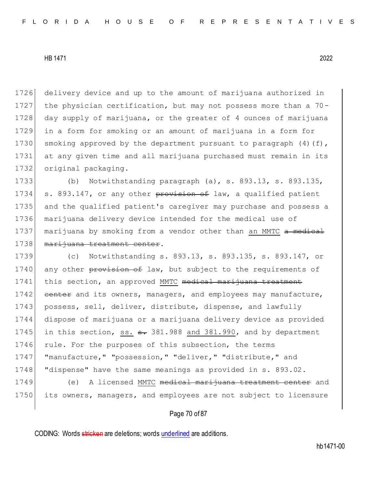1726 delivery device and up to the amount of marijuana authorized in 1727 the physician certification, but may not possess more than a 70- 1728 day supply of marijuana, or the greater of 4 ounces of marijuana 1729 in a form for smoking or an amount of marijuana in a form for 1730 smoking approved by the department pursuant to paragraph  $(4)$  (f), 1731 at any given time and all marijuana purchased must remain in its 1732 original packaging.

1733 (b) Notwithstanding paragraph (a), s. 893.13, s. 893.135, 1734 s. 893.147, or any other provision of law, a qualified patient 1735 and the qualified patient's caregiver may purchase and possess a 1736 marijuana delivery device intended for the medical use of 1737 marijuana by smoking from a vendor other than an MMTC a medical 1738 marijuana treatment center.

1739 (c) Notwithstanding s. 893.13, s. 893.135, s. 893.147, or 1740 any other provision of law, but subject to the requirements of 1741 this section, an approved MMTC medical marijuana treatment 1742 center and its owners, managers, and employees may manufacture, 1743 possess, sell, deliver, distribute, dispense, and lawfully 1744 dispose of marijuana or a marijuana delivery device as provided 1745 in this section, ss.  $\epsilon$ . 381.988 and 381.990, and by department 1746 rule. For the purposes of this subsection, the terms 1747 | "manufacture," "possession," "deliver," "distribute," and 1748 "dispense" have the same meanings as provided in s. 893.02.

1749 (e) A licensed MMTC medical marijuana treatment center and 1750 its owners, managers, and employees are not subject to licensure

### Page 70 of 87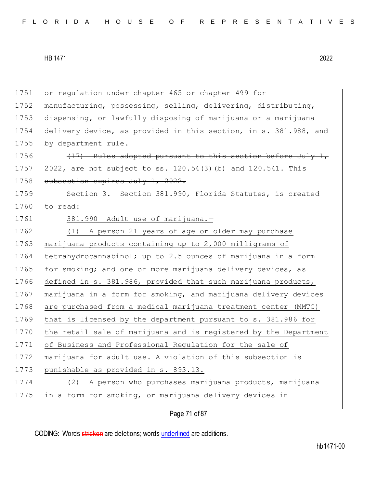1751 or regulation under chapter 465 or chapter 499 for 1752 manufacturing, possessing, selling, delivering, distributing, 1753 dispensing, or lawfully disposing of marijuana or a marijuana 1754 delivery device, as provided in this section, in s. 381.988, and 1755 by department rule. 1756  $(17)$  Rules adopted pursuant to this section before July 1, 1757  $2022$ , are not subject to ss. 120.54(3)(b) and 120.541. This 1758 subsection expires July 1, 2022. 1759 Section 3. Section 381.990, Florida Statutes, is created 1760 to read: 1761 381.990 Adult use of marijuana.-1762 (1) A person 21 years of age or older may purchase 1763 marijuana products containing up to 2,000 milligrams of 1764 tetrahydrocannabinol; up to 2.5 ounces of marijuana in a form 1765 for smoking; and one or more marijuana delivery devices, as 1766 defined in s. 381.986, provided that such marijuana products, 1767 marijuana in a form for smoking, and marijuana delivery devices 1768 are purchased from a medical marijuana treatment center (MMTC) 1769 that is licensed by the department pursuant to s. 381.986 for 1770 the retail sale of marijuana and is registered by the Department 1771 of Business and Professional Regulation for the sale of 1772 marijuana for adult use. A violation of this subsection is 1773 punishable as provided in s. 893.13. 1774 (2) A person who purchases marijuana products, marijuana 1775 in a form for smoking, or marijuana delivery devices in

Page 71 of 87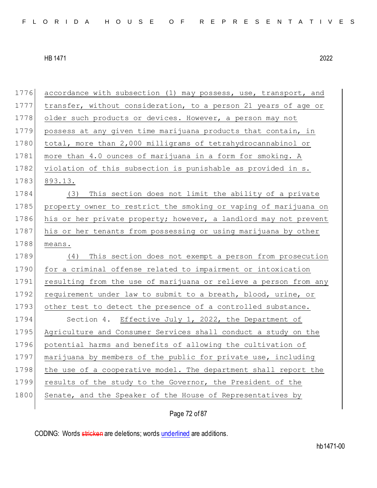1776 accordance with subsection (1) may possess, use, transport, and 1777 transfer, without consideration, to a person 21 years of age or 1778 older such products or devices. However, a person may not 1779 possess at any given time marijuana products that contain, in 1780 total, more than 2,000 milligrams of tetrahydrocannabinol or 1781 more than 4.0 ounces of marijuana in a form for smoking. A 1782 violation of this subsection is punishable as provided in s. 1783 893.13. 1784 (3) This section does not limit the ability of a private 1785 property owner to restrict the smoking or vaping of marijuana on 1786 his or her private property; however, a landlord may not prevent 1787 his or her tenants from possessing or using marijuana by other 1788 means. 1789 (4) This section does not exempt a person from prosecution 1790 for a criminal offense related to impairment or intoxication 1791 resulting from the use of marijuana or relieve a person from any 1792 requirement under law to submit to a breath, blood, urine, or 1793 other test to detect the presence of a controlled substance. 1794 Section 4. Effective July 1, 2022, the Department of 1795 Agriculture and Consumer Services shall conduct a study on the 1796 potential harms and benefits of allowing the cultivation of 1797 marijuana by members of the public for private use, including 1798 the use of a cooperative model. The department shall report the 1799 results of the study to the Governor, the President of the 1800 Senate, and the Speaker of the House of Representatives by

Page 72 of 87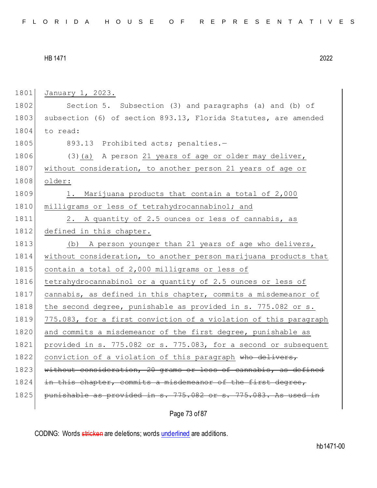1801 January 1, 2023. 1802 Section 5. Subsection (3) and paragraphs (a) and (b) of 1803 subsection (6) of section 893.13, Florida Statutes, are amended 1804 to read: 1805 893.13 Prohibited acts; penalties.-1806 (3)(a) A person 21 years of age or older may deliver, 1807 without consideration, to another person 21 years of age or 1808 older: 1809 1. Marijuana products that contain a total of 2,000 1810 milligrams or less of tetrahydrocannabinol; and 1811 2. A quantity of 2.5 ounces or less of cannabis, as 1812 defined in this chapter. 1813 (b) A person younger than 21 years of age who delivers, 1814 without consideration, to another person marijuana products that 1815 contain a total of 2,000 milligrams or less of 1816 tetrahydrocannabinol or a quantity of 2.5 ounces or less of 1817 cannabis, as defined in this chapter, commits a misdemeanor of 1818 | the second degree, punishable as provided in s. 775.082 or s. 1819 775.083, for a first conviction of a violation of this paragraph 1820 and commits a misdemeanor of the first degree, punishable as 1821 provided in s. 775.082 or s. 775.083, for a second or subsequent 1822 conviction of a violation of this paragraph who delivers, 1823 without consideration, 20 grams or less of cannabis, as defined 1824 in this chapter, commits a misdemeanor of the first degree, 1825 punishable as provided in s. 775.082 or s. 775.083. As used in

Page 73 of 87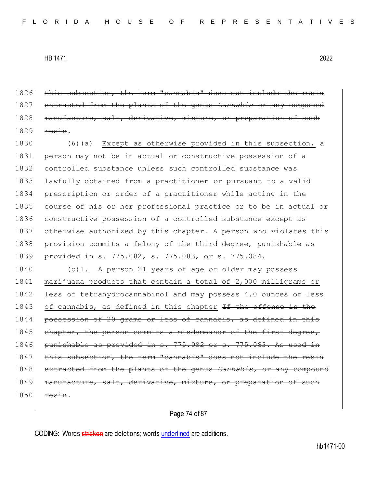1826 this subsection, the term "cannabis" does not include the resin 1827 extracted from the plants of the genus *Cannabis* or any compound 1828 manufacture, salt, derivative, mixture, or preparation of such  $1829$  resin.

1830 (6)(a) Except as otherwise provided in this subsection, a 1831 person may not be in actual or constructive possession of a 1832 controlled substance unless such controlled substance was 1833 lawfully obtained from a practitioner or pursuant to a valid 1834 prescription or order of a practitioner while acting in the 1835 course of his or her professional practice or to be in actual or 1836 constructive possession of a controlled substance except as 1837 otherwise authorized by this chapter. A person who violates this 1838 provision commits a felony of the third degree, punishable as 1839 provided in s. 775.082, s. 775.083, or s. 775.084.

1840 (b)1. A person 21 years of age or older may possess 1841 marijuana products that contain a total of 2,000 milligrams or 1842 less of tetrahydrocannabinol and may possess 4.0 ounces or less 1843 of cannabis, as defined in this chapter <del>If the offense is the</del> 1844 possession of 20 grams or less of cannabis, as defined in this 1845 chapter, the person commits a misdemeanor of the 1846 punishable as provided in s. 775.082 or s. 775.083. As used 1847 this subsection, the term "cannabis" does not include the resin 1848 extracted from the plants of the genus *Cannabis*, or any compound 1849 manufacture, salt, derivative, mixture, or preparation of such  $1850$  resin.

### Page 74 of 87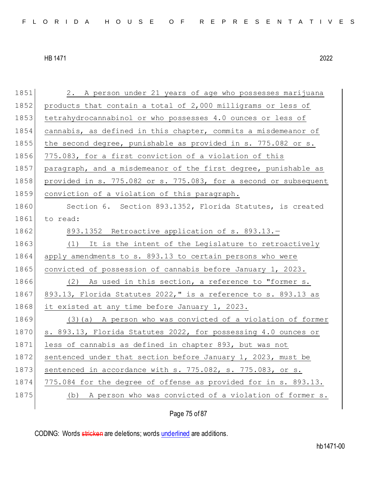1851 2. A person under 21 years of age who possesses marijuana 1852 products that contain a total of 2,000 milligrams or less of 1853 tetrahydrocannabinol or who possesses 4.0 ounces or less of 1854 cannabis, as defined in this chapter, commits a misdemeanor of 1855 the second degree, punishable as provided in s. 775.082 or s. 1856 775.083, for a first conviction of a violation of this 1857 paragraph, and a misdemeanor of the first degree, punishable as 1858 provided in s. 775.082 or s. 775.083, for a second or subsequent 1859 conviction of a violation of this paragraph. 1860 Section 6. Section 893.1352, Florida Statutes, is created 1861 to read:  $1862$  893.1352 Retroactive application of s. 893.13.-1863 (1) It is the intent of the Legislature to retroactively 1864 apply amendments to s. 893.13 to certain persons who were 1865 convicted of possession of cannabis before January 1, 2023. 1866 (2) As used in this section, a reference to "former s. 1867 893.13, Florida Statutes 2022," is a reference to s. 893.13 as 1868 it existed at any time before January 1, 2023. 1869 (3)(a) A person who was convicted of a violation of former 1870 s. 893.13, Florida Statutes 2022, for possessing 4.0 ounces or 1871 less of cannabis as defined in chapter 893, but was not 1872 sentenced under that section before January 1, 2023, must be 1873 sentenced in accordance with  $s. 775.082$ ,  $s. 775.083$ , or  $s.$ 1874 775.084 for the degree of offense as provided for in s. 893.13. 1875 (b) A person who was convicted of a violation of former s.

Page 75 of 87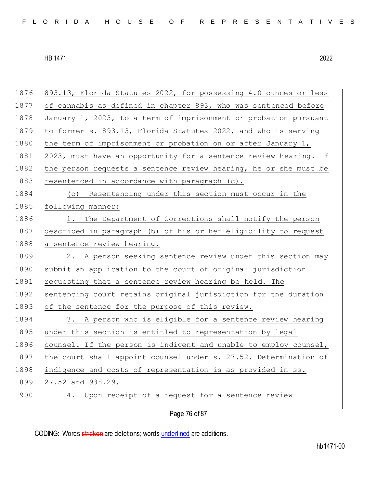| 1876 | 893.13, Florida Statutes 2022, for possessing 4.0 ounces or less |
|------|------------------------------------------------------------------|
| 1877 | of cannabis as defined in chapter 893, who was sentenced before  |
| 1878 | January 1, 2023, to a term of imprisonment or probation pursuant |
| 1879 | to former s. 893.13, Florida Statutes 2022, and who is serving   |
| 1880 | the term of imprisonment or probation on or after January 1,     |
| 1881 | 2023, must have an opportunity for a sentence review hearing. If |
| 1882 | the person requests a sentence review hearing, he or she must be |
| 1883 | resentenced in accordance with paragraph (c).                    |
| 1884 | (c) Resentencing under this section must occur in the            |
| 1885 | following manner:                                                |
| 1886 | 1. The Department of Corrections shall notify the person         |
| 1887 | described in paragraph (b) of his or her eligibility to request  |
| 1888 | a sentence review hearing.                                       |
| 1889 | 2. A person seeking sentence review under this section may       |
| 1890 | submit an application to the court of original jurisdiction      |
| 1891 | requesting that a sentence review hearing be held. The           |
| 1892 | sentencing court retains original jurisdiction for the duration  |
| 1893 | of the sentence for the purpose of this review.                  |
| 1894 | 3. A person who is eligible for a sentence review hearing        |
| 1895 | under this section is entitled to representation by legal        |
| 1896 | counsel. If the person is indigent and unable to employ counsel, |
| 1897 | the court shall appoint counsel under s. 27.52. Determination of |
| 1898 | indigence and costs of representation is as provided in ss.      |
| 1899 | 27.52 and 938.29.                                                |
| 1900 | Upon receipt of a request for a sentence review<br>4.            |
|      |                                                                  |

Page 76 of 87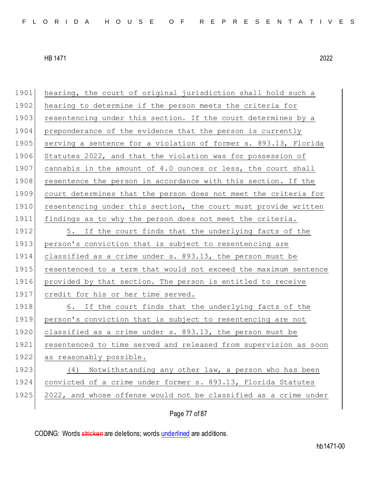| 1901 | hearing, the court of original jurisdiction shall hold such a    |
|------|------------------------------------------------------------------|
| 1902 | hearing to determine if the person meets the criteria for        |
| 1903 | resentencing under this section. If the court determines by a    |
| 1904 | preponderance of the evidence that the person is currently       |
| 1905 | serving a sentence for a violation of former s. 893.13, Florida  |
| 1906 | Statutes 2022, and that the violation was for possession of      |
| 1907 | cannabis in the amount of 4.0 ounces or less, the court shall    |
| 1908 | resentence the person in accordance with this section. If the    |
| 1909 | court determines that the person does not meet the criteria for  |
| 1910 | resentencing under this section, the court must provide written  |
| 1911 | findings as to why the person does not meet the criteria.        |
| 1912 | 5. If the court finds that the underlying facts of the           |
| 1913 | person's conviction that is subject to resentencing are          |
| 1914 | classified as a crime under s. 893.13, the person must be        |
| 1915 | resentenced to a term that would not exceed the maximum sentence |
| 1916 | provided by that section. The person is entitled to receive      |
| 1917 | credit for his or her time served.                               |
| 1918 | 6. If the court finds that the underlying facts of the           |
| 1919 | person's conviction that is subject to resentencing are not      |
| 1920 | classified as a crime under s. 893.13, the person must be        |
| 1921 | resentenced to time served and released from supervision as soon |
| 1922 | as reasonably possible.                                          |
| 1923 | Notwithstanding any other law, a person who has been<br>(4)      |
| 1924 | convicted of a crime under former s. 893.13, Florida Statutes    |
| 1925 | 2022, and whose offense would not be classified as a crime under |
|      |                                                                  |

Page 77 of 87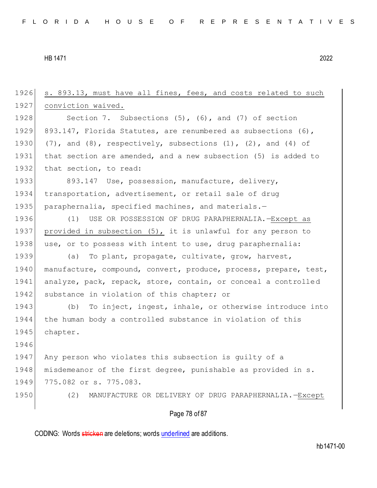Page 78 of 87 1926 s. 893.13, must have all fines, fees, and costs related to such 1927 conviction waived. 1928 Section 7. Subsections (5), (6), and (7) of section 1929 893.147, Florida Statutes, are renumbered as subsections (6), 1930  $(7)$ , and  $(8)$ , respectively, subsections  $(1)$ ,  $(2)$ , and  $(4)$  of 1931 that section are amended, and a new subsection (5) is added to 1932 that section, to read: 1933 893.147 Use, possession, manufacture, delivery, 1934 transportation, advertisement, or retail sale of drug 1935 paraphernalia, specified machines, and materials.-1936 (1) USE OR POSSESSION OF DRUG PARAPHERNALIA.—Except as 1937 provided in subsection (5), it is unlawful for any person to 1938 use, or to possess with intent to use, drug paraphernalia: 1939 (a) To plant, propagate, cultivate, grow, harvest, 1940 manufacture, compound, convert, produce, process, prepare, test, 1941 analyze, pack, repack, store, contain, or conceal a controlled 1942 substance in violation of this chapter; or 1943 (b) To inject, ingest, inhale, or otherwise introduce into 1944 the human body a controlled substance in violation of this 1945 chapter. 1946 1947 Any person who violates this subsection is guilty of a 1948 | misdemeanor of the first degree, punishable as provided in s. 1949 775.082 or s. 775.083. 1950 (2) MANUFACTURE OR DELIVERY OF DRUG PARAPHERNALIA.—Except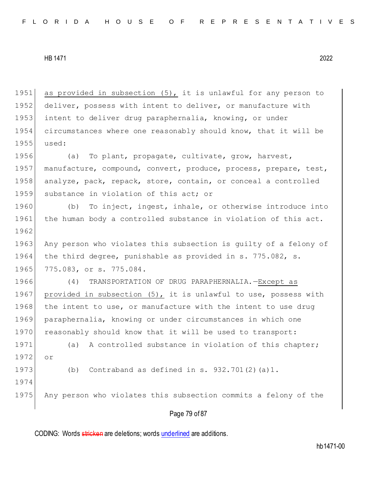1951 as provided in subsection  $(5)$ , it is unlawful for any person to 1952 deliver, possess with intent to deliver, or manufacture with 1953 intent to deliver drug paraphernalia, knowing, or under 1954 circumstances where one reasonably should know, that it will be 1955 used:

1956 (a) To plant, propagate, cultivate, grow, harvest, 1957 manufacture, compound, convert, produce, process, prepare, test, 1958 analyze, pack, repack, store, contain, or conceal a controlled 1959 substance in violation of this act; or

1960 (b) To inject, ingest, inhale, or otherwise introduce into 1961 the human body a controlled substance in violation of this act. 1962 1963 Any person who violates this subsection is quilty of a felony of 1964 the third degree, punishable as provided in s. 775.082, s.

1965 775.083, or s. 775.084.

1974

1966 (4) TRANSPORTATION OF DRUG PARAPHERNALIA.—Except as 1967 provided in subsection (5), it is unlawful to use, possess with 1968 the intent to use, or manufacture with the intent to use drug 1969 paraphernalia, knowing or under circumstances in which one 1970 reasonably should know that it will be used to transport:

1971 (a) A controlled substance in violation of this chapter; 1972 or

1973 (b) Contraband as defined in s. 932.701 $(2)$  (a)1.

1975 Any person who violates this subsection commits a felony of the

#### Page 79 of 87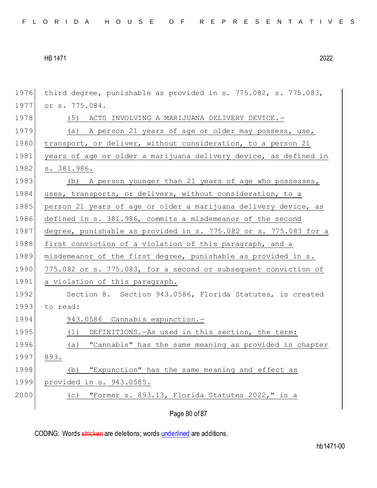```
HB 1471 2022
```

| 1976 | third degree, punishable as provided in s. 775.082, s. 775.083,  |
|------|------------------------------------------------------------------|
| 1977 | or s. 775.084.                                                   |
| 1978 | (5) ACTS INVOLVING A MARIJUANA DELIVERY DEVICE.-                 |
| 1979 | (a) A person 21 years of age or older may possess, use,          |
| 1980 | transport, or deliver, without consideration, to a person 21     |
| 1981 | years of age or older a marijuana delivery device, as defined in |
| 1982 | s. 381.986.                                                      |
| 1983 | (b) A person younger than 21 years of age who possesses,         |
| 1984 | uses, transports, or delivers, without consideration, to a       |
| 1985 | person 21 years of age or older a marijuana delivery device, as  |
| 1986 | defined in s. 381.986, commits a misdemeanor of the second       |
| 1987 | degree, punishable as provided in s. 775.082 or s. 775.083 for a |
| 1988 | first conviction of a violation of this paragraph, and a         |
| 1989 | misdemeanor of the first degree, punishable as provided in s.    |
| 1990 | 775.082 or s. 775.083, for a second or subsequent conviction of  |
| 1991 | a violation of this paragraph.                                   |
| 1992 | Section 8. Section 943.0586, Florida Statutes, is created        |
| 1993 | to read:                                                         |
| 1994 | 943.0586 Cannabis expunction.-                                   |
| 1995 | DEFINITIONS. - As used in this section, the term:<br>(1)         |
| 1996 | "Cannabis" has the same meaning as provided in chapter<br>(a)    |
| 1997 | 893.                                                             |
| 1998 | "Expunction" has the same meaning and effect as<br>(b)           |
| 1999 | provided in s. 943.0585.                                         |
| 2000 | "Former s. 893.13, Florida Statutes 2022," is a<br>(C)           |
|      | Page 80 of 87                                                    |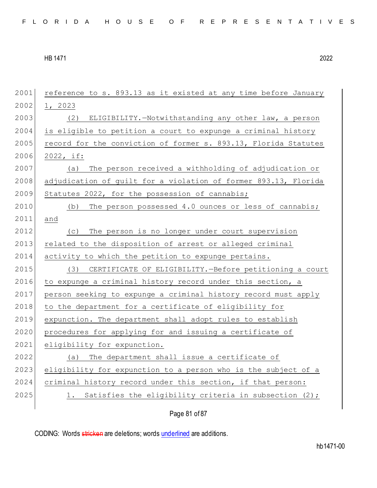| 2001 | reference to s. 893.13 as it existed at any time before January |
|------|-----------------------------------------------------------------|
| 2002 | 1, 2023                                                         |
| 2003 | ELIGIBILITY.-Notwithstanding any other law, a person<br>(2)     |
| 2004 | is eligible to petition a court to expunge a criminal history   |
| 2005 | record for the conviction of former s. 893.13, Florida Statutes |
| 2006 | 2022, if:                                                       |
| 2007 | The person received a withholding of adjudication or<br>(a)     |
| 2008 | adjudication of guilt for a violation of former 893.13, Florida |
| 2009 | Statutes 2022, for the possession of cannabis;                  |
| 2010 | The person possessed 4.0 ounces or less of cannabis;<br>(b)     |
| 2011 | and                                                             |
| 2012 | The person is no longer under court supervision<br>(C)          |
| 2013 | related to the disposition of arrest or alleged criminal        |
| 2014 | activity to which the petition to expunge pertains.             |
| 2015 | CERTIFICATE OF ELIGIBILITY. - Before petitioning a court<br>(3) |
| 2016 | to expunge a criminal history record under this section, a      |
| 2017 | person seeking to expunge a criminal history record must apply  |
| 2018 | to the department for a certificate of eligibility for          |
| 2019 | expunction. The department shall adopt rules to establish       |
| 2020 | procedures for applying for and issuing a certificate of        |
| 2021 | eligibility for expunction.                                     |
| 2022 | (a) The department shall issue a certificate of                 |
| 2023 | eligibility for expunction to a person who is the subject of a  |
| 2024 | criminal history record under this section, if that person:     |
| 2025 | 1. Satisfies the eligibility criteria in subsection (2);        |
|      |                                                                 |

Page 81 of 87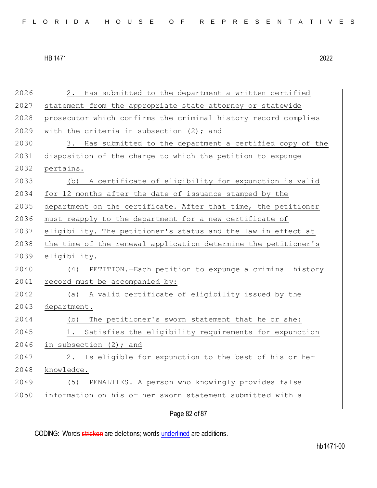2026 2. Has submitted to the department a written certified 2027 statement from the appropriate state attorney or statewide 2028 | prosecutor which confirms the criminal history record complies 2029 with the criteria in subsection  $(2)$ ; and 2030 3. Has submitted to the department a certified copy of the 2031 disposition of the charge to which the petition to expunge 2032 pertains. 2033 (b) A certificate of eligibility for expunction is valid 2034 for 12 months after the date of issuance stamped by the 2035 department on the certificate. After that time, the petitioner 2036 must reapply to the department for a new certificate of 2037 eligibility. The petitioner's status and the law in effect at 2038 the time of the renewal application determine the petitioner's 2039 eligibility. 2040 (4) PETITION.—Each petition to expunge a criminal history 2041 record must be accompanied by: 2042 (a) A valid certificate of eligibility issued by the 2043 department. 2044 (b) The petitioner's sworn statement that he or she: 2045 1. Satisfies the eligibility requirements for expunction 2046 in subsection  $(2)$ ; and 2047 2. Is eligible for expunction to the best of his or her 2048 knowledge. 2049 (5) PENALTIES.—A person who knowingly provides false 2050 information on his or her sworn statement submitted with a

Page 82 of 87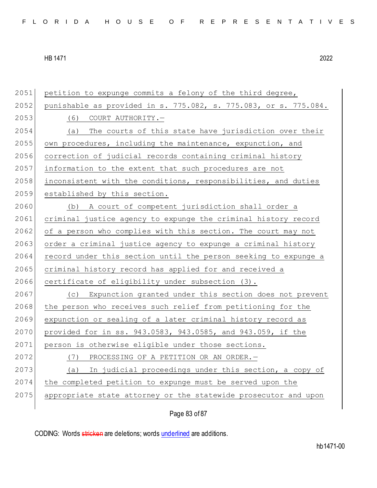| 2051 | petition to expunge commits a felony of the third degree,        |
|------|------------------------------------------------------------------|
| 2052 | punishable as provided in s. 775.082, s. 775.083, or s. 775.084. |
| 2053 | (6) COURT AUTHORITY.                                             |
| 2054 | The courts of this state have jurisdiction over their<br>(a)     |
| 2055 | own procedures, including the maintenance, expunction, and       |
| 2056 | correction of judicial records containing criminal history       |
| 2057 | information to the extent that such procedures are not           |
| 2058 | inconsistent with the conditions, responsibilities, and duties   |
| 2059 | established by this section.                                     |
| 2060 | A court of competent jurisdiction shall order a<br>(b)           |
| 2061 | criminal justice agency to expunge the criminal history record   |
| 2062 | of a person who complies with this section. The court may not    |
| 2063 | order a criminal justice agency to expunge a criminal history    |
| 2064 | record under this section until the person seeking to expunge a  |
| 2065 | criminal history record has applied for and received a           |
| 2066 | certificate of eligibility under subsection (3).                 |
| 2067 | Expunction granted under this section does not prevent<br>(C)    |
| 2068 | the person who receives such relief from petitioning for the     |
| 2069 | expunction or sealing of a later criminal history record as      |
| 2070 | provided for in ss. 943.0583, 943.0585, and 943.059, if the      |
| 2071 | person is otherwise eligible under those sections.               |
| 2072 | PROCESSING OF A PETITION OR AN ORDER. -<br>(7)                   |
| 2073 | In judicial proceedings under this section, a copy of<br>(a)     |
| 2074 | the completed petition to expunge must be served upon the        |
| 2075 | appropriate state attorney or the statewide prosecutor and upon  |
|      |                                                                  |

Page 83 of 87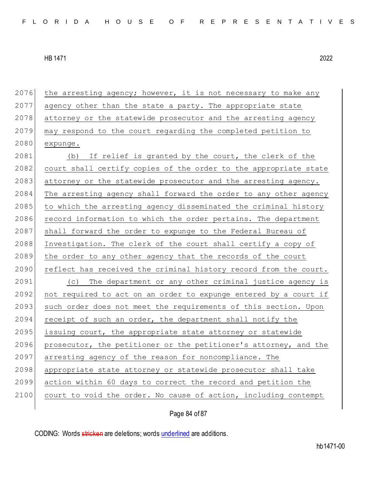2076 the arresting agency; however, it is not necessary to make any 2077 agency other than the state a party. The appropriate state 2078 attorney or the statewide prosecutor and the arresting agency 2079 may respond to the court regarding the completed petition to  $2080$  expunge. 2081 (b) If relief is granted by the court, the clerk of the 2082 court shall certify copies of the order to the appropriate state 2083 attorney or the statewide prosecutor and the arresting agency.  $2084$  The arresting agency shall forward the order to any other agency 2085 to which the arresting agency disseminated the criminal history 2086 record information to which the order pertains. The department 2087 shall forward the order to expunge to the Federal Bureau of 2088 Investigation. The clerk of the court shall certify a copy of 2089 the order to any other agency that the records of the court 2090 reflect has received the criminal history record from the court. 2091 (c) The department or any other criminal justice agency is 2092 not required to act on an order to expunge entered by a court if 2093 such order does not meet the requirements of this section. Upon 2094 receipt of such an order, the department shall notify the  $2095$  issuing court, the appropriate state attorney or statewide 2096 prosecutor, the petitioner or the petitioner's attorney, and the 2097 arresting agency of the reason for noncompliance. The 2098 appropriate state attorney or statewide prosecutor shall take 2099 action within 60 days to correct the record and petition the 2100 court to void the order. No cause of action, including contempt

Page 84 of 87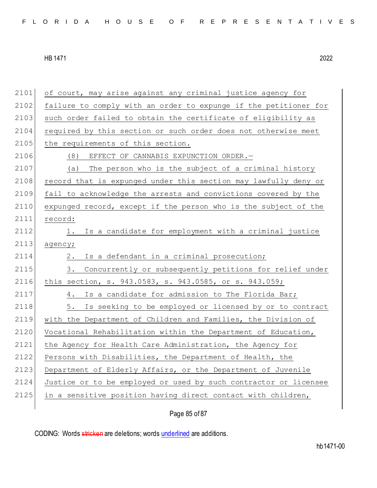2101 of court, may arise against any criminal justice agency for 2102 failure to comply with an order to expunge if the petitioner for 2103 such order failed to obtain the certificate of eligibility as 2104 required by this section or such order does not otherwise meet 2105 the requirements of this section. 2106 (8) EFFECT OF CANNABIS EXPUNCTION ORDER. 2107 (a) The person who is the subject of a criminal history 2108 record that is expunged under this section may lawfully deny or 2109 fail to acknowledge the arrests and convictions covered by the 2110 expunged record, except if the person who is the subject of the 2111 record: 2112 1. Is a candidate for employment with a criminal justice  $2113$  agency; 2114 2. Is a defendant in a criminal prosecution; 2115 3. Concurrently or subsequently petitions for relief under 2116 this section, s. 943.0583, s. 943.0585, or s. 943.059; 2117 4. Is a candidate for admission to The Florida Bar; 2118 5. Is seeking to be employed or licensed by or to contract 2119 with the Department of Children and Families, the Division of 2120 Vocational Rehabilitation within the Department of Education, 2121 the Agency for Health Care Administration, the Agency for 2122 Persons with Disabilities, the Department of Health, the 2123 Department of Elderly Affairs, or the Department of Juvenile 2124 Justice or to be employed or used by such contractor or licensee 2125 in a sensitive position having direct contact with children,

Page 85 of 87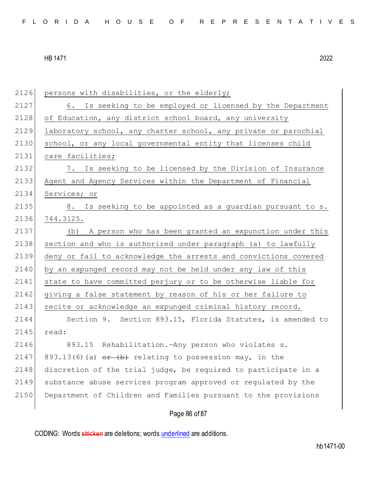2126 persons with disabilities, or the elderly; 2127 6. Is seeking to be employed or licensed by the Department 2128 of Education, any district school board, any university 2129 laboratory school, any charter school, any private or parochial 2130 school, or any local governmental entity that licenses child 2131 care facilities; 2132 7. Is seeking to be licensed by the Division of Insurance 2133 Agent and Agency Services within the Department of Financial 2134 Services; or 2135 8. Is seeking to be appointed as a quardian pursuant to s. 2136 744.3125. 2137 (b) A person who has been granted an expunction under this 2138 section and who is authorized under paragraph (a) to lawfully 2139 deny or fail to acknowledge the arrests and convictions covered 2140 by an expunged record may not be held under any law of this 2141 state to have committed perjury or to be otherwise liable for 2142 giving a false statement by reason of his or her failure to 2143 recite or acknowledge an expunged criminal history record. 2144 Section 9. Section 893.15, Florida Statutes, is amended to 2145 read: 2146 893.15 Rehabilitation.—Any person who violates s. 2147 893.13(6)(a)  $\theta$   $\leftrightarrow$  relating to possession may, in the  $2148$  discretion of the trial judge, be required to participate in a 2149 substance abuse services program approved or regulated by the 2150 Department of Children and Families pursuant to the provisions

# Page 86 of 87